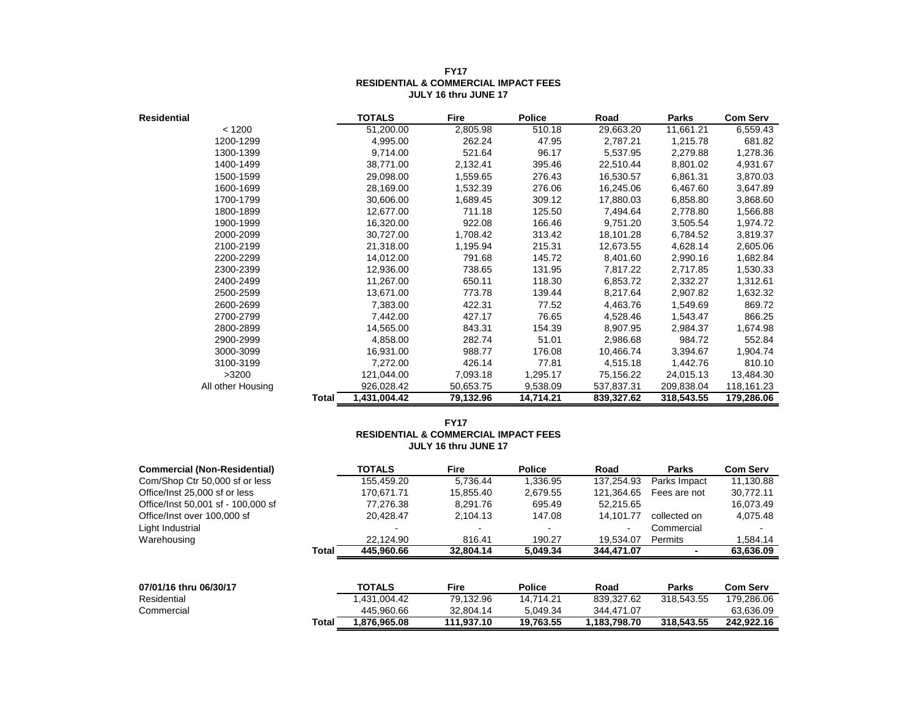| <b>Residential</b> |       | <b>TOTALS</b> | Fire      | <b>Police</b> | Road       | <b>Parks</b> | <b>Com Serv</b> |
|--------------------|-------|---------------|-----------|---------------|------------|--------------|-----------------|
| < 1200             |       | 51,200.00     | 2,805.98  | 510.18        | 29,663.20  | 11,661.21    | 6,559.43        |
| 1200-1299          |       | 4,995.00      | 262.24    | 47.95         | 2,787.21   | 1,215.78     | 681.82          |
| 1300-1399          |       | 9,714.00      | 521.64    | 96.17         | 5,537.95   | 2,279.88     | 1,278.36        |
| 1400-1499          |       | 38,771.00     | 2,132.41  | 395.46        | 22,510.44  | 8,801.02     | 4,931.67        |
| 1500-1599          |       | 29,098.00     | 1,559.65  | 276.43        | 16,530.57  | 6,861.31     | 3,870.03        |
| 1600-1699          |       | 28,169.00     | 1,532.39  | 276.06        | 16,245.06  | 6,467.60     | 3,647.89        |
| 1700-1799          |       | 30,606.00     | 1,689.45  | 309.12        | 17,880.03  | 6,858.80     | 3,868.60        |
| 1800-1899          |       | 12,677.00     | 711.18    | 125.50        | 7,494.64   | 2,778.80     | 1,566.88        |
| 1900-1999          |       | 16,320.00     | 922.08    | 166.46        | 9,751.20   | 3,505.54     | 1,974.72        |
| 2000-2099          |       | 30,727.00     | 1,708.42  | 313.42        | 18,101.28  | 6,784.52     | 3,819.37        |
| 2100-2199          |       | 21,318.00     | 1,195.94  | 215.31        | 12,673.55  | 4,628.14     | 2,605.06        |
| 2200-2299          |       | 14,012.00     | 791.68    | 145.72        | 8,401.60   | 2,990.16     | 1,682.84        |
| 2300-2399          |       | 12,936.00     | 738.65    | 131.95        | 7,817.22   | 2,717.85     | 1,530.33        |
| 2400-2499          |       | 11,267.00     | 650.11    | 118.30        | 6,853.72   | 2,332.27     | 1,312.61        |
| 2500-2599          |       | 13,671.00     | 773.78    | 139.44        | 8,217.64   | 2,907.82     | 1,632.32        |
| 2600-2699          |       | 7,383.00      | 422.31    | 77.52         | 4,463.76   | 1,549.69     | 869.72          |
| 2700-2799          |       | 7,442.00      | 427.17    | 76.65         | 4,528.46   | 1,543.47     | 866.25          |
| 2800-2899          |       | 14,565.00     | 843.31    | 154.39        | 8,907.95   | 2,984.37     | 1,674.98        |
| 2900-2999          |       | 4,858.00      | 282.74    | 51.01         | 2,986.68   | 984.72       | 552.84          |
| 3000-3099          |       | 16,931.00     | 988.77    | 176.08        | 10,466.74  | 3,394.67     | 1,904.74        |
| 3100-3199          |       | 7,272.00      | 426.14    | 77.81         | 4,515.18   | 1,442.76     | 810.10          |
| >3200              |       | 121,044.00    | 7,093.18  | 1,295.17      | 75,156.22  | 24,015.13    | 13,484.30       |
| All other Housing  |       | 926,028.42    | 50,653.75 | 9,538.09      | 537,837.31 | 209,838.04   | 118,161.23      |
|                    | Total | 1,431,004.42  | 79,132.96 | 14,714.21     | 839,327.62 | 318,543.55   | 179,286.06      |

#### **FY17 RESIDENTIAL & COMMERCIAL IMPACT FEES JULY 16 thru JUNE 17**

#### **FY17 RESIDENTIAL & COMMERCIAL IMPACT FEES JULY 16 thru JUNE 17**

| <b>Commercial (Non-Residential)</b> |              | <b>TOTALS</b> | <b>Fire</b> | <b>Police</b> | Road         | <b>Parks</b> | <b>Com Serv</b> |
|-------------------------------------|--------------|---------------|-------------|---------------|--------------|--------------|-----------------|
| Com/Shop Ctr 50,000 sf or less      |              | 155.459.20    | 5.736.44    | 1.336.95      | 137.254.93   | Parks Impact | 11.130.88       |
| Office/Inst 25,000 sf or less       |              | 170.671.71    | 15.855.40   | 2.679.55      | 121.364.65   | Fees are not | 30.772.11       |
| Office/Inst 50,001 sf - 100,000 sf  |              | 77.276.38     | 8.291.76    | 695.49        | 52.215.65    |              | 16,073.49       |
| Office/Inst over 100,000 sf         |              | 20.428.47     | 2.104.13    | 147.08        | 14.101.77    | collected on | 4.075.48        |
| Light Industrial                    |              |               |             |               |              | Commercial   |                 |
| Warehousing                         |              | 22.124.90     | 816.41      | 190.27        | 19.534.07    | Permits      | 1,584.14        |
|                                     | Total        | 445.960.66    | 32.804.14   | 5.049.34      | 344.471.07   |              | 63,636.09       |
|                                     |              |               |             |               |              |              |                 |
| 07/01/16 thru 06/30/17              |              | <b>TOTALS</b> | <b>Fire</b> | <b>Police</b> | Road         | <b>Parks</b> | <b>Com Serv</b> |
| Residential                         |              | 1.431.004.42  | 79.132.96   | 14.714.21     | 839.327.62   | 318.543.55   | 179,286.06      |
| Commercial                          |              | 445.960.66    | 32.804.14   | 5.049.34      | 344.471.07   |              | 63,636.09       |
|                                     | <b>Total</b> | 1.876.965.08  | 111.937.10  | 19.763.55     | 1,183,798.70 | 318.543.55   | 242.922.16      |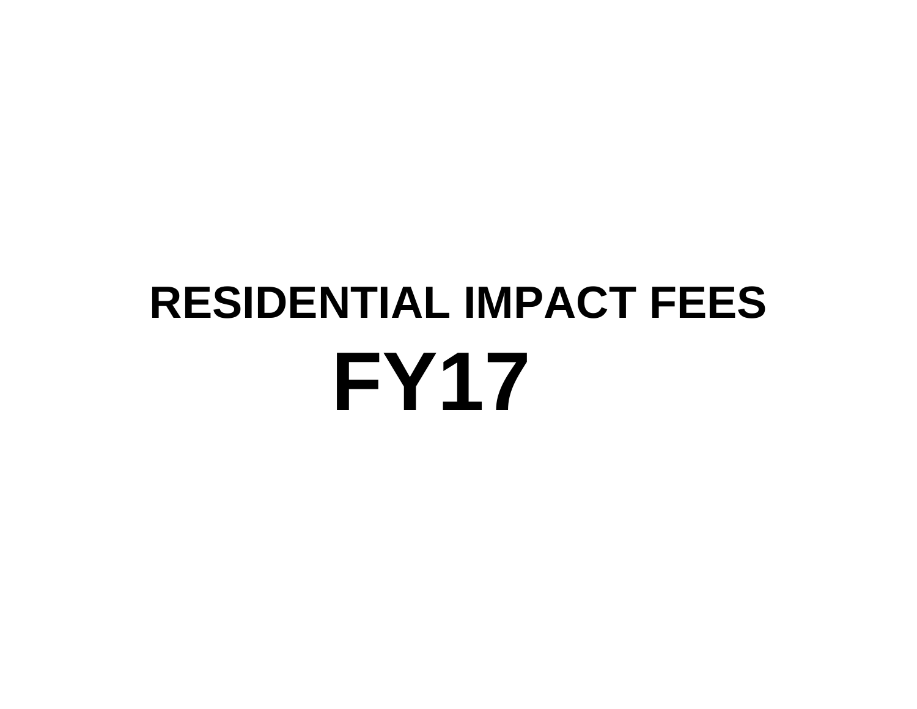# **FY17 RESIDENTIAL IMPACT FEES**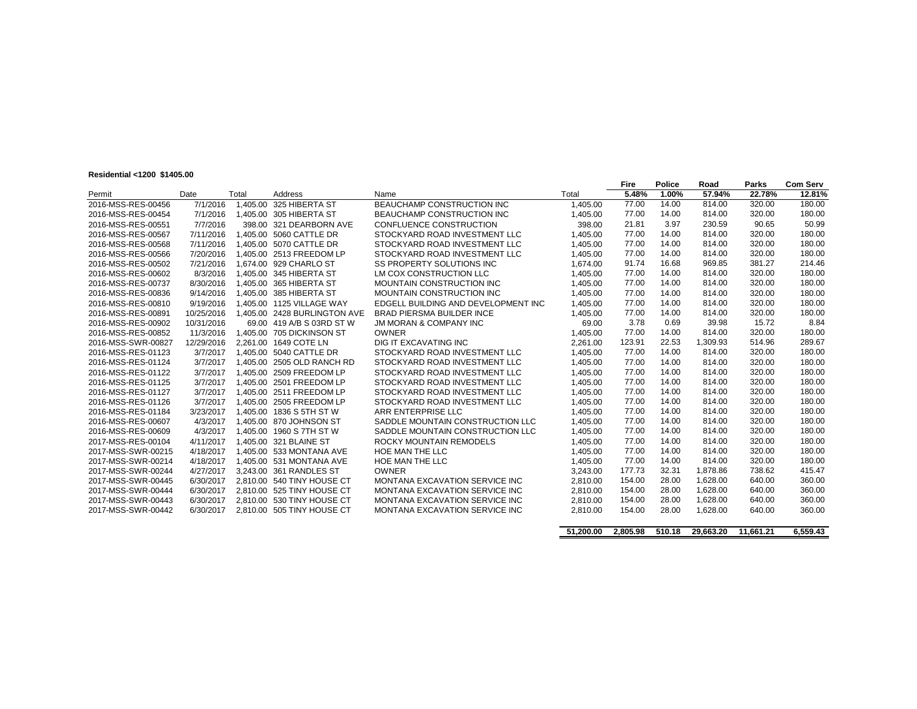#### **Residential <1200 \$1405.00**

| ¤ະລາດeππαι<π∠ບບູຈ⊺4ບວ.ບບ |            |          |                              |                                     |          | Fire   | <b>Police</b> | Road     | Parks  | <b>Com Serv</b> |
|--------------------------|------------|----------|------------------------------|-------------------------------------|----------|--------|---------------|----------|--------|-----------------|
| Permit                   | Date       | Total    | Address                      | Name                                | Total    | 5.48%  | 1.00%         | 57.94%   | 22.78% | 12.81%          |
| 2016-MSS-RES-00456       | 7/1/2016   | 1.405.00 | 325 HIBERTA ST               | BEAUCHAMP CONSTRUCTION INC          | 1,405.00 | 77.00  | 14.00         | 814.00   | 320.00 | 180.00          |
| 2016-MSS-RES-00454       | 7/1/2016   |          | 1.405.00 305 HIBERTA ST      | <b>BEAUCHAMP CONSTRUCTION INC</b>   | 1.405.00 | 77.00  | 14.00         | 814.00   | 320.00 | 180.00          |
| 2016-MSS-RES-00551       | 7/7/2016   |          | 398.00 321 DEARBORN AVE      | CONFLUENCE CONSTRUCTION             | 398.00   | 21.81  | 3.97          | 230.59   | 90.65  | 50.99           |
| 2016-MSS-RES-00567       | 7/11/2016  |          | 1.405.00 5060 CATTLE DR      | STOCKYARD ROAD INVESTMENT LLC       | 1,405.00 | 77.00  | 14.00         | 814.00   | 320.00 | 180.00          |
| 2016-MSS-RES-00568       | 7/11/2016  |          | 1.405.00 5070 CATTLE DR      | STOCKYARD ROAD INVESTMENT LLC       | 1,405.00 | 77.00  | 14.00         | 814.00   | 320.00 | 180.00          |
| 2016-MSS-RES-00566       | 7/20/2016  |          | 1.405.00 2513 FREEDOM LP     | STOCKYARD ROAD INVESTMENT LLC       | 1.405.00 | 77.00  | 14.00         | 814.00   | 320.00 | 180.00          |
| 2016-MSS-RES-00502       | 7/21/2016  |          | 1.674.00 929 CHARLO ST       | <b>SS PROPERTY SOLUTIONS INC</b>    | 1.674.00 | 91.74  | 16.68         | 969.85   | 381.27 | 214.46          |
| 2016-MSS-RES-00602       | 8/3/2016   |          | 1.405.00 345 HIBERTA ST      | LM COX CONSTRUCTION LLC             | 1.405.00 | 77.00  | 14.00         | 814.00   | 320.00 | 180.00          |
| 2016-MSS-RES-00737       | 8/30/2016  |          | 1.405.00 365 HIBERTA ST      | <b>MOUNTAIN CONSTRUCTION INC</b>    | 1.405.00 | 77.00  | 14.00         | 814.00   | 320.00 | 180.00          |
| 2016-MSS-RES-00836       | 9/14/2016  |          | 1.405.00 385 HIBERTA ST      | <b>MOUNTAIN CONSTRUCTION INC</b>    | 1,405.00 | 77.00  | 14.00         | 814.00   | 320.00 | 180.00          |
| 2016-MSS-RES-00810       | 9/19/2016  |          | 1.405.00 1125 VILLAGE WAY    | EDGELL BUILDING AND DEVELOPMENT INC | 1.405.00 | 77.00  | 14.00         | 814.00   | 320.00 | 180.00          |
| 2016-MSS-RES-00891       | 10/25/2016 |          | 1.405.00 2428 BURLINGTON AVE | <b>BRAD PIERSMA BUILDER INCE</b>    | 1.405.00 | 77.00  | 14.00         | 814.00   | 320.00 | 180.00          |
| 2016-MSS-RES-00902       | 10/31/2016 |          | 69.00 419 A/B S 03RD ST W    | <b>JM MORAN &amp; COMPANY INC</b>   | 69.00    | 3.78   | 0.69          | 39.98    | 15.72  | 8.84            |
| 2016-MSS-RES-00852       | 11/3/2016  |          | 1.405.00 705 DICKINSON ST    | <b>OWNER</b>                        | 1.405.00 | 77.00  | 14.00         | 814.00   | 320.00 | 180.00          |
| 2016-MSS-SWR-00827       | 12/29/2016 |          | 2.261.00 1649 COTE LN        | DIG IT EXCAVATING INC               | 2,261.00 | 123.91 | 22.53         | 1,309.93 | 514.96 | 289.67          |
| 2016-MSS-RES-01123       | 3/7/2017   |          | 1.405.00 5040 CATTLE DR      | STOCKYARD ROAD INVESTMENT LLC       | 1,405.00 | 77.00  | 14.00         | 814.00   | 320.00 | 180.00          |
| 2016-MSS-RES-01124       | 3/7/2017   |          | 1.405.00 2505 OLD RANCH RD   | STOCKYARD ROAD INVESTMENT LLC       | 1.405.00 | 77.00  | 14.00         | 814.00   | 320.00 | 180.00          |
| 2016-MSS-RES-01122       | 3/7/2017   |          | 1.405.00 2509 FREEDOM LP     | STOCKYARD ROAD INVESTMENT LLC       | 1.405.00 | 77.00  | 14.00         | 814.00   | 320.00 | 180.00          |
| 2016-MSS-RES-01125       | 3/7/2017   |          | 1,405.00 2501 FREEDOM LP     | STOCKYARD ROAD INVESTMENT LLC       | 1.405.00 | 77.00  | 14.00         | 814.00   | 320.00 | 180.00          |
| 2016-MSS-RES-01127       | 3/7/2017   |          | 1.405.00 2511 FREEDOM LP     | STOCKYARD ROAD INVESTMENT LLC       | 1.405.00 | 77.00  | 14.00         | 814.00   | 320.00 | 180.00          |
| 2016-MSS-RES-01126       | 3/7/2017   |          | 1.405.00 2505 FREEDOM LP     | STOCKYARD ROAD INVESTMENT LLC       | 1.405.00 | 77.00  | 14.00         | 814.00   | 320.00 | 180.00          |
| 2016-MSS-RES-01184       | 3/23/2017  |          | 1.405.00 1836 S 5TH ST W     | ARR ENTERPRISE LLC                  | 1,405.00 | 77.00  | 14.00         | 814.00   | 320.00 | 180.00          |
| 2016-MSS-RES-00607       | 4/3/2017   |          | 1,405.00 870 JOHNSON ST      | SADDLE MOUNTAIN CONSTRUCTION LLC    | 1.405.00 | 77.00  | 14.00         | 814.00   | 320.00 | 180.00          |
| 2016-MSS-RES-00609       | 4/3/2017   |          | 1.405.00 1960 S 7TH ST W     | SADDLE MOUNTAIN CONSTRUCTION LLC    | 1,405.00 | 77.00  | 14.00         | 814.00   | 320.00 | 180.00          |
| 2017-MSS-RES-00104       | 4/11/2017  |          | 1.405.00 321 BLAINE ST       | ROCKY MOUNTAIN REMODELS             | 1,405.00 | 77.00  | 14.00         | 814.00   | 320.00 | 180.00          |
| 2017-MSS-SWR-00215       | 4/18/2017  |          | 1.405.00 533 MONTANA AVE     | HOE MAN THE LLC                     | 1,405.00 | 77.00  | 14.00         | 814.00   | 320.00 | 180.00          |
| 2017-MSS-SWR-00214       | 4/18/2017  |          | 1.405.00 531 MONTANA AVE     | HOE MAN THE LLC                     | 1.405.00 | 77.00  | 14.00         | 814.00   | 320.00 | 180.00          |
| 2017-MSS-SWR-00244       | 4/27/2017  |          | 3.243.00 361 RANDLES ST      | <b>OWNER</b>                        | 3.243.00 | 177.73 | 32.31         | 1,878.86 | 738.62 | 415.47          |
| 2017-MSS-SWR-00445       | 6/30/2017  |          | 2.810.00 540 TINY HOUSE CT   | MONTANA EXCAVATION SERVICE INC      | 2.810.00 | 154.00 | 28.00         | 1,628.00 | 640.00 | 360.00          |
| 2017-MSS-SWR-00444       | 6/30/2017  |          | 2.810.00 525 TINY HOUSE CT   | MONTANA EXCAVATION SERVICE INC      | 2.810.00 | 154.00 | 28.00         | 1.628.00 | 640.00 | 360.00          |
| 2017-MSS-SWR-00443       | 6/30/2017  |          | 2.810.00 530 TINY HOUSE CT   | MONTANA EXCAVATION SERVICE INC      | 2,810.00 | 154.00 | 28.00         | 1.628.00 | 640.00 | 360.00          |
| 2017-MSS-SWR-00442       | 6/30/2017  |          | 2.810.00 505 TINY HOUSE CT   | MONTANA EXCAVATION SERVICE INC      | 2.810.00 | 154.00 | 28.00         | 1.628.00 | 640.00 | 360.00          |

|  | 51,200.00 2,805.98 510.18 29,663.20 11,661.21 | 6,559.43 |
|--|-----------------------------------------------|----------|
|  |                                               |          |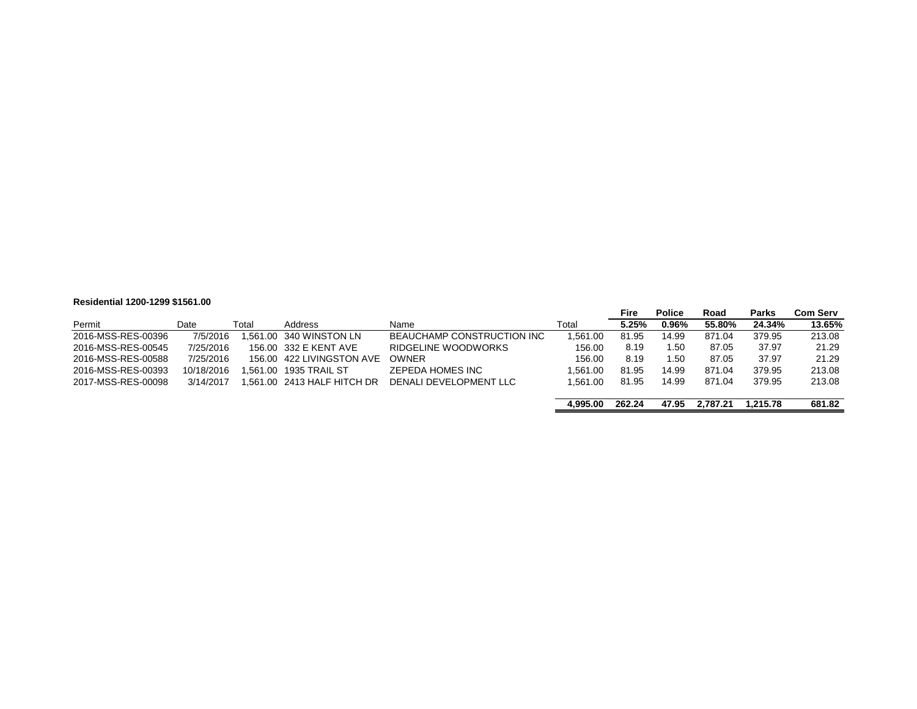#### **Residential 1200-1299 \$1561.00**

|                    |            |       |                            |                            |          | <b>Fire</b> | <b>Police</b> | Road     | <b>Parks</b> | <b>Com Serv</b> |
|--------------------|------------|-------|----------------------------|----------------------------|----------|-------------|---------------|----------|--------------|-----------------|
| Permit             | Date       | Total | <b>Address</b>             | Name                       | Total    | 5.25%       | 0.96%         | 55.80%   | 24.34%       | 13.65%          |
| 2016-MSS-RES-00396 | 7/5/2016   |       | 1.561.00 340 WINSTON LN    | BEAUCHAMP CONSTRUCTION INC | .561.00  | 81.95       | 14.99         | 871.04   | 379.95       | 213.08          |
| 2016-MSS-RES-00545 | 7/25/2016  |       | 156.00 332 E KENT AVE      | RIDGELINE WOODWORKS        | 156.00   | 8.19        | 1.50          | 87.05    | 37.97        | 21.29           |
| 2016-MSS-RES-00588 | 7/25/2016  |       | 156.00 422 LIVINGSTON AVE  | <b>OWNER</b>               | 156.00   | 8.19        | 1.50          | 87.05    | 37.97        | 21.29           |
| 2016-MSS-RES-00393 | 10/18/2016 |       | .561.00 1935 TRAIL ST      | ZEPEDA HOMES INC           | 1.561.00 | 81.95       | 14.99         | 871.04   | 379.95       | 213.08          |
| 2017-MSS-RES-00098 | 3/14/2017  |       | .561.00 2413 HALF HITCH DR | DENALI DEVELOPMENT LLC     | 1.561.00 | 81.95       | 14.99         | 871.04   | 379.95       | 213.08          |
|                    |            |       |                            |                            | 4.995.00 | 262.24      | 47.95         | 2.787.21 | 1.215.78     | 681.82          |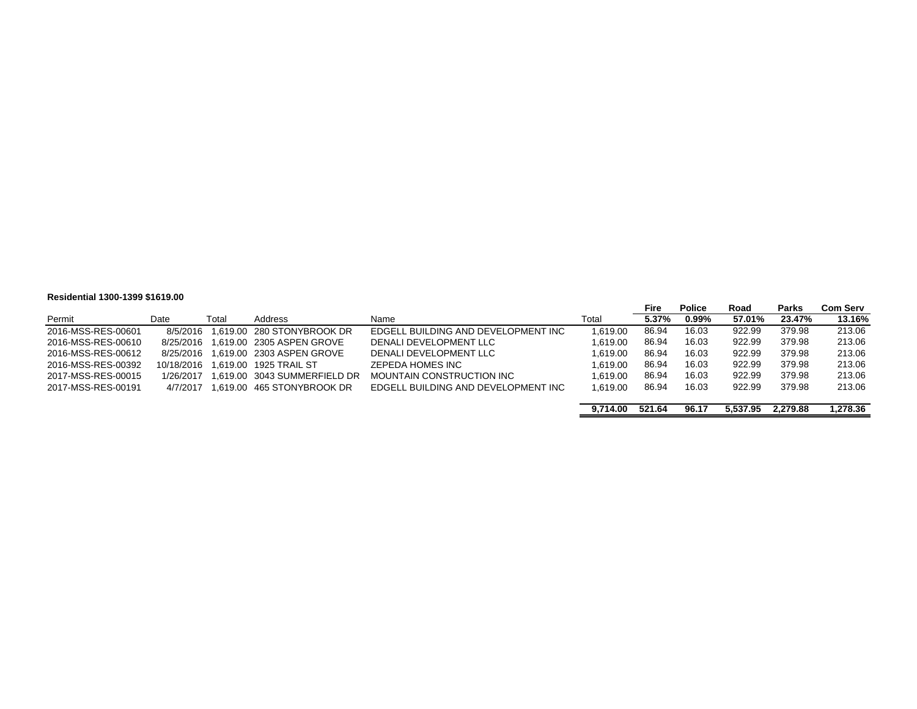#### **Residential 1300-1399 \$1619.00**

|                    |            |       |                                        |                                     |          | Fire   | <b>Police</b> | Road     | Parks    | Com Serv |
|--------------------|------------|-------|----------------------------------------|-------------------------------------|----------|--------|---------------|----------|----------|----------|
| Permit             | Date       | Total | Address                                | Name                                | Total    | 5.37%  | 0.99%         | 57.01%   | 23.47%   | 13.16%   |
| 2016-MSS-RES-00601 | 8/5/2016   |       | 1.619.00 280 STONYBROOK DR             | EDGELL BUILDING AND DEVELOPMENT INC | 1.619.00 | 86.94  | 16.03         | 922.99   | 379.98   | 213.06   |
| 2016-MSS-RES-00610 | 8/25/2016  |       | 1.619.00 2305 ASPEN GROVE              | DENALI DEVELOPMENT LLC              | 1.619.00 | 86.94  | 16.03         | 922.99   | 379.98   | 213.06   |
| 2016-MSS-RES-00612 |            |       | 8/25/2016  1.619.00  2303  ASPEN GROVE | DENALI DEVELOPMENT LLC              | 1.619.00 | 86.94  | 16.03         | 922.99   | 379.98   | 213.06   |
| 2016-MSS-RES-00392 | 10/18/2016 |       | 1.619.00 1925 TRAIL ST                 | ZEPEDA HOMES INC                    | 1.619.00 | 86.94  | 16.03         | 922.99   | 379.98   | 213.06   |
| 2017-MSS-RES-00015 | 1/26/2017  |       | 1.619.00 3043 SUMMERFIELD DR           | MOUNTAIN CONSTRUCTION INC           | 1.619.00 | 86.94  | 16.03         | 922.99   | 379.98   | 213.06   |
| 2017-MSS-RES-00191 | 4/7/2017   |       | 1.619.00 465 STONYBROOK DR             | EDGELL BUILDING AND DEVELOPMENT INC | 1.619.00 | 86.94  | 16.03         | 922.99   | 379.98   | 213.06   |
|                    |            |       |                                        |                                     |          |        |               |          |          |          |
|                    |            |       |                                        |                                     | 9.714.00 | 521.64 | 96.17         | 5.537.95 | 2.279.88 | 1,278.36 |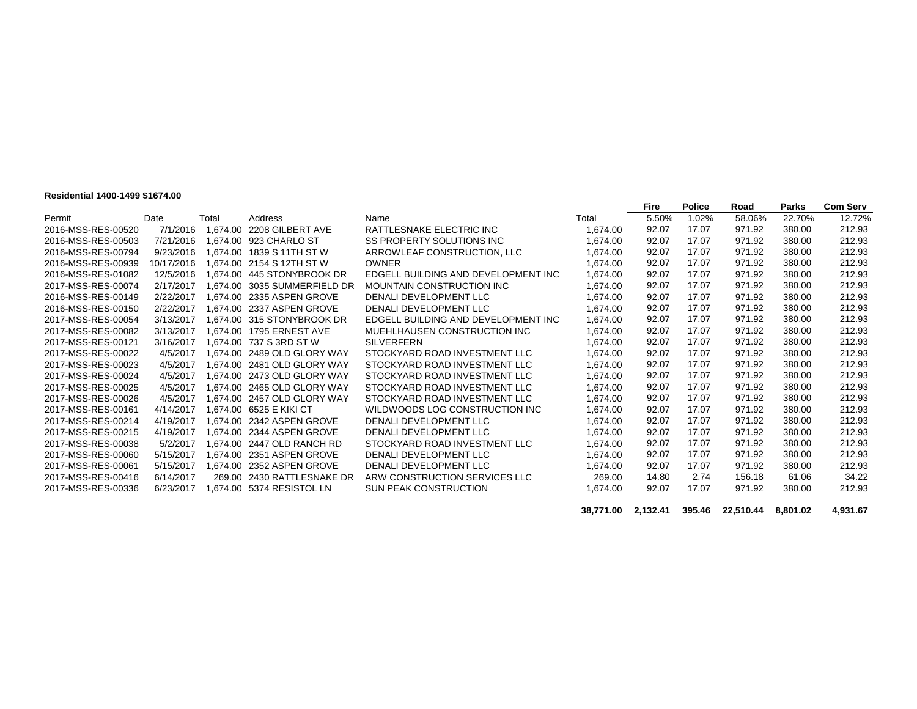#### **Residential 1400-1499 \$1674.00**

|                    |            |          |                                  |                                     |           | Fire     | <b>Police</b> | Road      | <b>Parks</b> | <b>Com Serv</b> |
|--------------------|------------|----------|----------------------------------|-------------------------------------|-----------|----------|---------------|-----------|--------------|-----------------|
| Permit             | Date       | Total    | Address                          | Name                                | Total     | 5.50%    | 1.02%         | 58.06%    | 22.70%       | 12.72%          |
| 2016-MSS-RES-00520 | 7/1/2016   | 1.674.00 | 2208 GILBERT AVE                 | RATTLESNAKE ELECTRIC INC            | 1.674.00  | 92.07    | 17.07         | 971.92    | 380.00       | 212.93          |
| 2016-MSS-RES-00503 | 7/21/2016  | 1.674.00 | 923 CHARLO ST                    | <b>SS PROPERTY SOLUTIONS INC</b>    | 1,674.00  | 92.07    | 17.07         | 971.92    | 380.00       | 212.93          |
| 2016-MSS-RES-00794 | 9/23/2016  | 1.674.00 | 1839 S 11TH ST W                 | ARROWLEAF CONSTRUCTION, LLC         | 1.674.00  | 92.07    | 17.07         | 971.92    | 380.00       | 212.93          |
| 2016-MSS-RES-00939 | 10/17/2016 | 1.674.00 | 2154 S 12TH ST W                 | <b>OWNER</b>                        | 1.674.00  | 92.07    | 17.07         | 971.92    | 380.00       | 212.93          |
| 2016-MSS-RES-01082 | 12/5/2016  | 1.674.00 | 445 STONYBROOK DR                | EDGELL BUILDING AND DEVELOPMENT INC | 1.674.00  | 92.07    | 17.07         | 971.92    | 380.00       | 212.93          |
| 2017-MSS-RES-00074 | 2/17/2017  | 1.674.00 | 3035 SUMMERFIELD DR              | MOUNTAIN CONSTRUCTION INC           | 1.674.00  | 92.07    | 17.07         | 971.92    | 380.00       | 212.93          |
| 2016-MSS-RES-00149 | 2/22/2017  | 1.674.00 | 2335 ASPEN GROVE                 | DENALI DEVELOPMENT LLC              | 1.674.00  | 92.07    | 17.07         | 971.92    | 380.00       | 212.93          |
| 2016-MSS-RES-00150 | 2/22/2017  | 1.674.00 | 2337 ASPEN GROVE                 | DENALI DEVELOPMENT LLC              | 1,674.00  | 92.07    | 17.07         | 971.92    | 380.00       | 212.93          |
| 2017-MSS-RES-00054 | 3/13/2017  |          | 1.674.00 315 STONYBROOK DR       | EDGELL BUILDING AND DEVELOPMENT INC | 1.674.00  | 92.07    | 17.07         | 971.92    | 380.00       | 212.93          |
| 2017-MSS-RES-00082 | 3/13/2017  |          | 1.674.00 1795 ERNEST AVE         | MUEHLHAUSEN CONSTRUCTION INC        | 1.674.00  | 92.07    | 17.07         | 971.92    | 380.00       | 212.93          |
| 2017-MSS-RES-00121 | 3/16/2017  |          | 1,674.00 737 S 3RD ST W          | <b>SILVERFERN</b>                   | 1,674.00  | 92.07    | 17.07         | 971.92    | 380.00       | 212.93          |
| 2017-MSS-RES-00022 | 4/5/2017   |          | 1.674.00 2489 OLD GLORY WAY      | STOCKYARD ROAD INVESTMENT LLC       | 1.674.00  | 92.07    | 17.07         | 971.92    | 380.00       | 212.93          |
| 2017-MSS-RES-00023 | 4/5/2017   |          | 1.674.00 2481 OLD GLORY WAY      | STOCKYARD ROAD INVESTMENT LLC       | 1.674.00  | 92.07    | 17.07         | 971.92    | 380.00       | 212.93          |
| 2017-MSS-RES-00024 | 4/5/2017   |          | 1.674.00 2473 OLD GLORY WAY      | STOCKYARD ROAD INVESTMENT LLC       | 1.674.00  | 92.07    | 17.07         | 971.92    | 380.00       | 212.93          |
| 2017-MSS-RES-00025 | 4/5/2017   |          | 1.674.00 2465 OLD GLORY WAY      | STOCKYARD ROAD INVESTMENT LLC       | 1,674.00  | 92.07    | 17.07         | 971.92    | 380.00       | 212.93          |
| 2017-MSS-RES-00026 | 4/5/2017   |          | 1.674.00 2457 OLD GLORY WAY      | STOCKYARD ROAD INVESTMENT LLC       | 1.674.00  | 92.07    | 17.07         | 971.92    | 380.00       | 212.93          |
| 2017-MSS-RES-00161 | 4/14/2017  |          | 1.674.00    6525    E    KIKI CT | WILDWOODS LOG CONSTRUCTION INC      | 1.674.00  | 92.07    | 17.07         | 971.92    | 380.00       | 212.93          |
| 2017-MSS-RES-00214 | 4/19/2017  |          | 1.674.00 2342 ASPEN GROVE        | DENALI DEVELOPMENT LLC              | 1.674.00  | 92.07    | 17.07         | 971.92    | 380.00       | 212.93          |
| 2017-MSS-RES-00215 | 4/19/2017  | 1.674.00 | 2344 ASPEN GROVE                 | DENALI DEVELOPMENT LLC              | 1.674.00  | 92.07    | 17.07         | 971.92    | 380.00       | 212.93          |
| 2017-MSS-RES-00038 | 5/2/2017   |          | 1.674.00 2447 OLD RANCH RD       | STOCKYARD ROAD INVESTMENT LLC       | 1,674.00  | 92.07    | 17.07         | 971.92    | 380.00       | 212.93          |
| 2017-MSS-RES-00060 | 5/15/2017  |          | 1.674.00 2351 ASPEN GROVE        | DENALI DEVELOPMENT LLC              | 1.674.00  | 92.07    | 17.07         | 971.92    | 380.00       | 212.93          |
| 2017-MSS-RES-00061 | 5/15/2017  | 1.674.00 | 2352 ASPEN GROVE                 | DENALI DEVELOPMENT LLC              | 1.674.00  | 92.07    | 17.07         | 971.92    | 380.00       | 212.93          |
| 2017-MSS-RES-00416 | 6/14/2017  | 269.00   | 2430 RATTLESNAKE DR              | ARW CONSTRUCTION SERVICES LLC       | 269.00    | 14.80    | 2.74          | 156.18    | 61.06        | 34.22           |
| 2017-MSS-RES-00336 | 6/23/2017  | 1,674.00 | 5374 RESISTOL LN                 | <b>SUN PEAK CONSTRUCTION</b>        | 1,674.00  | 92.07    | 17.07         | 971.92    | 380.00       | 212.93          |
|                    |            |          |                                  |                                     |           |          |               |           |              |                 |
|                    |            |          |                                  |                                     | 38.771.00 | 2.132.41 | 395.46        | 22.510.44 | 8.801.02     | 4.931.67        |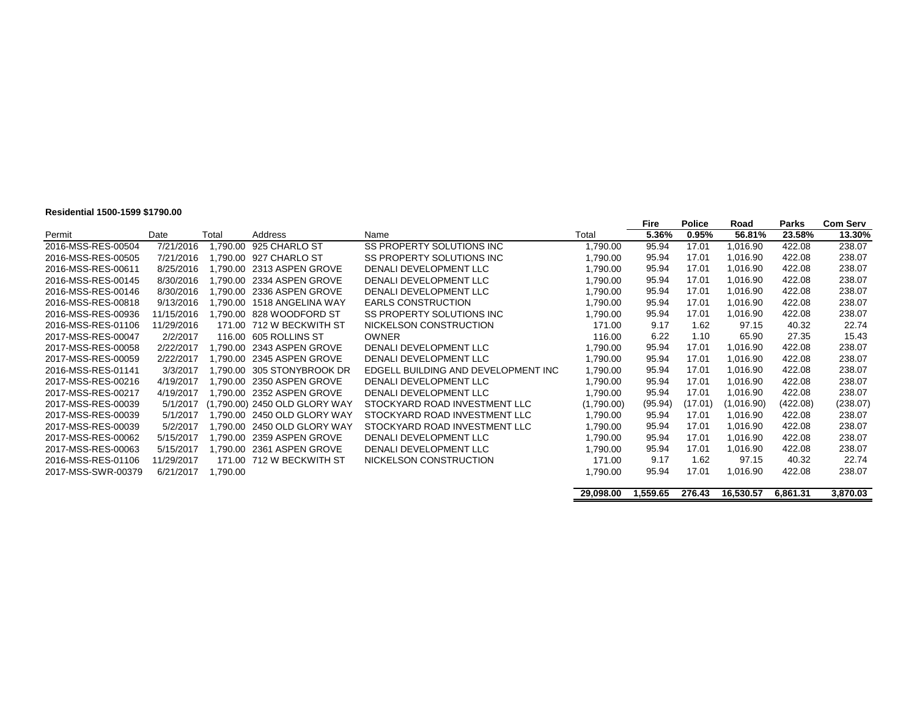#### **Residential 1500-1599 \$1790.00**

| Residential 1900-1999 \$1790.00 |            |           |                               |                                     |            |               |                        |                |                 |                           |
|---------------------------------|------------|-----------|-------------------------------|-------------------------------------|------------|---------------|------------------------|----------------|-----------------|---------------------------|
| Permit                          | Date       | Total     | Address                       | Name                                | Total      | Fire<br>5.36% | <b>Police</b><br>0.95% | Road<br>56.81% | Parks<br>23.58% | <b>Com Serv</b><br>13.30% |
|                                 |            |           |                               |                                     |            |               |                        |                |                 |                           |
| 2016-MSS-RES-00504              | 7/21/2016  | 1.790.00  | 925 CHARLO ST                 | SS PROPERTY SOLUTIONS INC           | 1,790.00   | 95.94         | 17.01                  | 1,016.90       | 422.08          | 238.07                    |
| 2016-MSS-RES-00505              | 7/21/2016  |           | .790.00 927 CHARLO ST         | SS PROPERTY SOLUTIONS INC           | 1,790.00   | 95.94         | 17.01                  | 1,016.90       | 422.08          | 238.07                    |
| 2016-MSS-RES-00611              | 8/25/2016  |           | .790.00 2313 ASPEN GROVE      | DENALI DEVELOPMENT LLC              | 1,790.00   | 95.94         | 17.01                  | 1,016.90       | 422.08          | 238.07                    |
| 2016-MSS-RES-00145              | 8/30/2016  |           | .790.00 2334 ASPEN GROVE      | DENALI DEVELOPMENT LLC              | 1,790.00   | 95.94         | 17.01                  | 1.016.90       | 422.08          | 238.07                    |
| 2016-MSS-RES-00146              | 8/30/2016  |           | .790.00 2336 ASPEN GROVE      | DENALI DEVELOPMENT LLC              | 1,790.00   | 95.94         | 17.01                  | 1,016.90       | 422.08          | 238.07                    |
| 2016-MSS-RES-00818              | 9/13/2016  |           | 1.790.00 1518 ANGELINA WAY    | <b>EARLS CONSTRUCTION</b>           | 1,790.00   | 95.94         | 17.01                  | 1,016.90       | 422.08          | 238.07                    |
| 2016-MSS-RES-00936              | 11/15/2016 |           | .790.00 828 WOODFORD ST       | SS PROPERTY SOLUTIONS INC           | 1,790.00   | 95.94         | 17.01                  | 1,016.90       | 422.08          | 238.07                    |
| 2016-MSS-RES-01106              | 11/29/2016 |           | 171.00 712 W BECKWITH ST      | NICKELSON CONSTRUCTION              | 171.00     | 9.17          | 1.62                   | 97.15          | 40.32           | 22.74                     |
| 2017-MSS-RES-00047              | 2/2/2017   |           | 116.00 605 ROLLINS ST         | <b>OWNER</b>                        | 116.00     | 6.22          | 1.10                   | 65.90          | 27.35           | 15.43                     |
| 2017-MSS-RES-00058              | 2/22/2017  |           | .790.00 2343 ASPEN GROVE      | DENALI DEVELOPMENT LLC              | 1,790.00   | 95.94         | 17.01                  | 1,016.90       | 422.08          | 238.07                    |
| 2017-MSS-RES-00059              | 2/22/2017  |           | .790.00 2345 ASPEN GROVE      | DENALI DEVELOPMENT LLC              | 1,790.00   | 95.94         | 17.01                  | 1,016.90       | 422.08          | 238.07                    |
| 2016-MSS-RES-01141              | 3/3/2017   |           | .790.00 305 STONYBROOK DR     | EDGELL BUILDING AND DEVELOPMENT INC | 1,790.00   | 95.94         | 17.01                  | 1,016.90       | 422.08          | 238.07                    |
| 2017-MSS-RES-00216              | 4/19/2017  |           | .790.00 2350 ASPEN GROVE      | DENALI DEVELOPMENT LLC              | 1,790.00   | 95.94         | 17.01                  | 1,016.90       | 422.08          | 238.07                    |
| 2017-MSS-RES-00217              | 4/19/2017  |           | .790.00 2352 ASPEN GROVE      | DENALI DEVELOPMENT LLC              | 1,790.00   | 95.94         | 17.01                  | 1,016.90       | 422.08          | 238.07                    |
| 2017-MSS-RES-00039              | 5/1/2017   |           | (1.790.00) 2450 OLD GLORY WAY | STOCKYARD ROAD INVESTMENT LLC       | (1,790.00) | (95.94)       | (17.01)                | (1,016.90)     | (422.08)        | (238.07)                  |
| 2017-MSS-RES-00039              | 5/1/2017   |           | 1.790.00 2450 OLD GLORY WAY   | STOCKYARD ROAD INVESTMENT LLC       | 1,790.00   | 95.94         | 17.01                  | 1,016.90       | 422.08          | 238.07                    |
| 2017-MSS-RES-00039              | 5/2/2017   |           | .790.00 2450 OLD GLORY WAY    | STOCKYARD ROAD INVESTMENT LLC       | 1,790.00   | 95.94         | 17.01                  | 1,016.90       | 422.08          | 238.07                    |
| 2017-MSS-RES-00062              | 5/15/2017  |           | .790.00 2359 ASPEN GROVE      | DENALI DEVELOPMENT LLC              | 1,790.00   | 95.94         | 17.01                  | 1,016.90       | 422.08          | 238.07                    |
| 2017-MSS-RES-00063              | 5/15/2017  |           | 1.790.00 2361 ASPEN GROVE     | DENALI DEVELOPMENT LLC              | 1,790.00   | 95.94         | 17.01                  | 1,016.90       | 422.08          | 238.07                    |
| 2016-MSS-RES-01106              | 11/29/2017 |           | 171.00 712 W BECKWITH ST      | NICKELSON CONSTRUCTION              | 171.00     | 9.17          | 1.62                   | 97.15          | 40.32           | 22.74                     |
| 2017-MSS-SWR-00379              | 6/21/2017  | .790.00 ا |                               |                                     | 1,790.00   | 95.94         | 17.01                  | 1,016.90       | 422.08          | 238.07                    |
|                                 |            |           |                               |                                     |            |               |                        |                |                 |                           |
|                                 |            |           |                               |                                     | 29,098.00  | 559.65. ا     | 276.43                 | 16,530.57      | 6,861.31        | 3,870.03                  |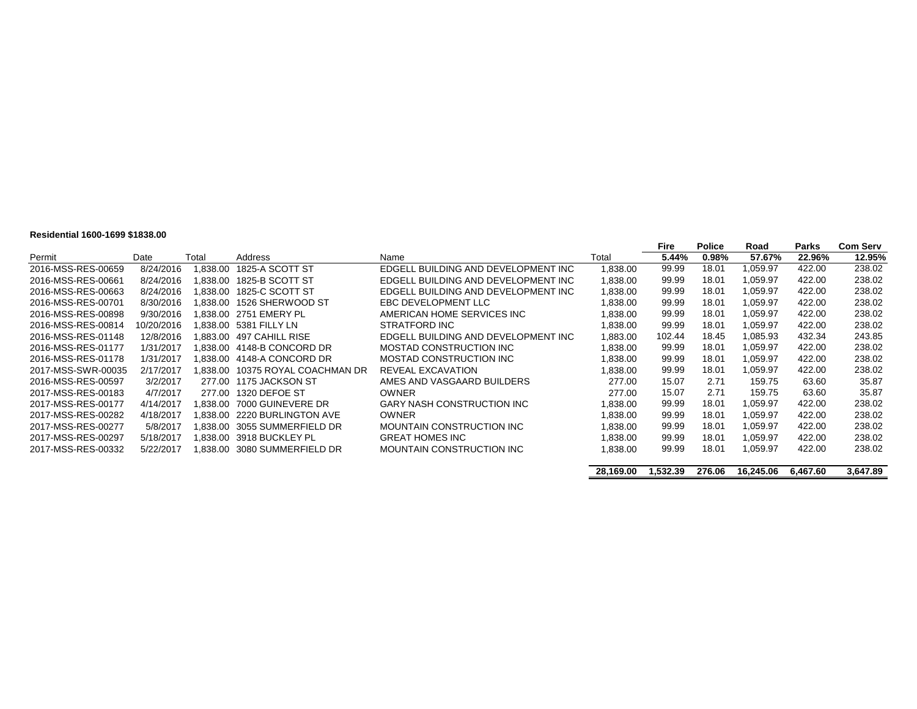#### **Residential 1600-1699 \$1838.00**

|                    |            |         |                              |                                     |           | <b>Fire</b> | <b>Police</b> | Road      | Parks    | <b>Com Serv</b> |
|--------------------|------------|---------|------------------------------|-------------------------------------|-----------|-------------|---------------|-----------|----------|-----------------|
| Permit             | Date       | Total   | Address                      | Name                                | Total     | 5.44%       | 0.98%         | 57.67%    | 22.96%   | 12.95%          |
| 2016-MSS-RES-00659 | 8/24/2016  | .838.00 | 1825-A SCOTT ST              | EDGELL BUILDING AND DEVELOPMENT INC | 1,838.00  | 99.99       | 18.01         | 1.059.97  | 422.00   | 238.02          |
| 2016-MSS-RES-00661 | 8/24/2016  | .838.00 | 1825-B SCOTT ST              | EDGELL BUILDING AND DEVELOPMENT INC | 1,838.00  | 99.99       | 18.01         | 1.059.97  | 422.00   | 238.02          |
| 2016-MSS-RES-00663 | 8/24/2016  | .838.00 | 1825-C SCOTT ST              | EDGELL BUILDING AND DEVELOPMENT INC | 1,838.00  | 99.99       | 18.01         | 1.059.97  | 422.00   | 238.02          |
| 2016-MSS-RES-00701 | 8/30/2016  | .838.00 | 1526 SHERWOOD ST             | EBC DEVELOPMENT LLC                 | 1,838.00  | 99.99       | 18.01         | 1,059.97  | 422.00   | 238.02          |
| 2016-MSS-RES-00898 | 9/30/2016  |         | .838.00 2751 EMERY PL        | AMERICAN HOME SERVICES INC          | 1,838.00  | 99.99       | 18.01         | 1.059.97  | 422.00   | 238.02          |
| 2016-MSS-RES-00814 | 10/20/2016 |         | 1.838.00 5381 FILLY LN       | STRATFORD INC                       | 1,838.00  | 99.99       | 18.01         | 1,059.97  | 422.00   | 238.02          |
| 2016-MSS-RES-01148 | 12/8/2016  |         | .883.00 497 CAHILL RISE      | EDGELL BUILDING AND DEVELOPMENT INC | 1,883.00  | 102.44      | 18.45         | 1.085.93  | 432.34   | 243.85          |
| 2016-MSS-RES-01177 | 1/31/2017  |         | .838.00 4148-B CONCORD DR    | MOSTAD CONSTRUCTION INC             | 1,838.00  | 99.99       | 18.01         | 1.059.97  | 422.00   | 238.02          |
| 2016-MSS-RES-01178 | 1/31/2017  |         | .838.00 4148-A CONCORD DR    | MOSTAD CONSTRUCTION INC             | 1,838.00  | 99.99       | 18.01         | 1.059.97  | 422.00   | 238.02          |
| 2017-MSS-SWR-00035 | 2/17/2017  | .838.00 | 10375 ROYAL COACHMAN DR      | REVEAL EXCAVATION                   | 1,838.00  | 99.99       | 18.01         | 1.059.97  | 422.00   | 238.02          |
| 2016-MSS-RES-00597 | 3/2/2017   |         | 277.00 1175 JACKSON ST       | AMES AND VASGAARD BUILDERS          | 277.00    | 15.07       | 2.71          | 159.75    | 63.60    | 35.87           |
| 2017-MSS-RES-00183 | 4/7/2017   | 277.00  | 1320 DEFOE ST                | OWNER                               | 277.00    | 15.07       | 2.71          | 159.75    | 63.60    | 35.87           |
| 2017-MSS-RES-00177 | 4/14/2017  |         | .838.00 7000 GUINEVERE DR    | <b>GARY NASH CONSTRUCTION INC</b>   | 1.838.00  | 99.99       | 18.01         | 1,059.97  | 422.00   | 238.02          |
| 2017-MSS-RES-00282 | 4/18/2017  |         | .838.00 2220 BURLINGTON AVE  | <b>OWNER</b>                        | 1.838.00  | 99.99       | 18.01         | 1,059.97  | 422.00   | 238.02          |
| 2017-MSS-RES-00277 | 5/8/2017   |         | 1.838.00 3055 SUMMERFIELD DR | MOUNTAIN CONSTRUCTION INC           | 1,838.00  | 99.99       | 18.01         | 1.059.97  | 422.00   | 238.02          |
| 2017-MSS-RES-00297 | 5/18/2017  |         | .838.00 3918 BUCKLEY PL      | <b>GREAT HOMES INC</b>              | 1,838.00  | 99.99       | 18.01         | 1.059.97  | 422.00   | 238.02          |
| 2017-MSS-RES-00332 | 5/22/2017  |         | .838.00 3080 SUMMERFIELD DR  | MOUNTAIN CONSTRUCTION INC           | 1,838.00  | 99.99       | 18.01         | 1.059.97  | 422.00   | 238.02          |
|                    |            |         |                              |                                     |           |             |               |           |          |                 |
|                    |            |         |                              |                                     | 28.169.00 | 1.532.39    | 276.06        | 16.245.06 | 6.467.60 | 3.647.89        |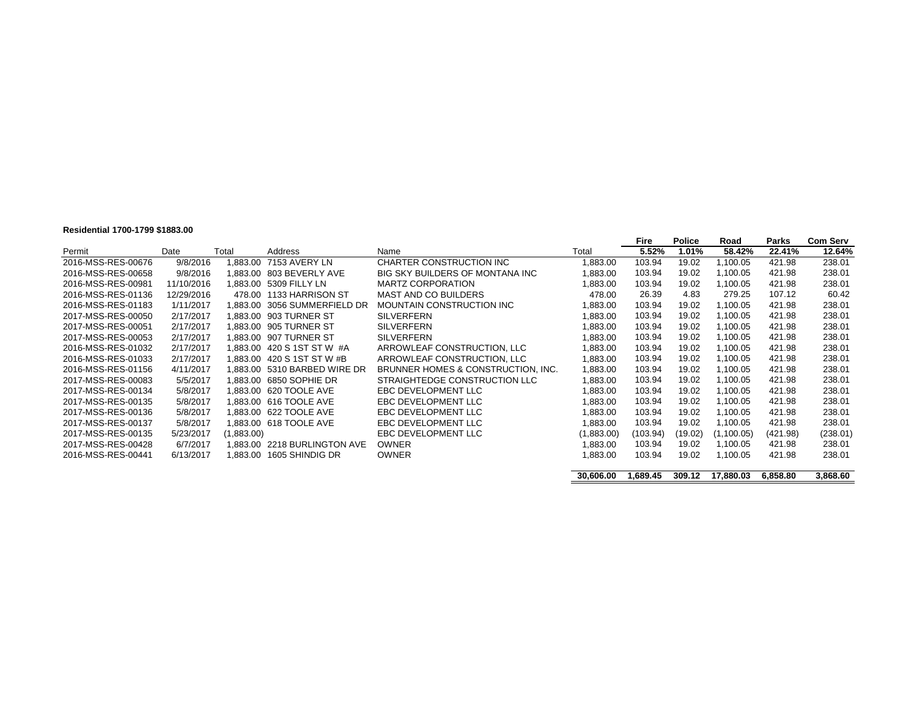#### **Residential 1700-1799 \$1883.00**

|                    |            |            |                              |                                    |            | Fire     | <b>Police</b> | Road       | <b>Parks</b> | <b>Com Serv</b> |
|--------------------|------------|------------|------------------------------|------------------------------------|------------|----------|---------------|------------|--------------|-----------------|
| Permit             | Date       | Total      | Address                      | Name                               | Total      | 5.52%    | 1.01%         | 58.42%     | 22.41%       | 12.64%          |
| 2016-MSS-RES-00676 | 9/8/2016   |            | 1,883.00 7153 AVERY LN       | CHARTER CONSTRUCTION INC           | 1,883.00   | 103.94   | 19.02         | 1,100.05   | 421.98       | 238.01          |
| 2016-MSS-RES-00658 | 9/8/2016   |            | 1.883.00 803 BEVERLY AVE     | BIG SKY BUILDERS OF MONTANA INC.   | 1,883.00   | 103.94   | 19.02         | 1.100.05   | 421.98       | 238.01          |
| 2016-MSS-RES-00981 | 11/10/2016 |            | 1,883.00 5309 FILLY LN       | <b>MARTZ CORPORATION</b>           | 1,883.00   | 103.94   | 19.02         | 1,100.05   | 421.98       | 238.01          |
| 2016-MSS-RES-01136 | 12/29/2016 |            | 478.00 1133 HARRISON ST      | <b>MAST AND CO BUILDERS</b>        | 478.00     | 26.39    | 4.83          | 279.25     | 107.12       | 60.42           |
| 2016-MSS-RES-01183 | 1/11/2017  |            | 1.883.00 3056 SUMMERFIELD DR | <b>MOUNTAIN CONSTRUCTION INC</b>   | 1,883.00   | 103.94   | 19.02         | 1,100.05   | 421.98       | 238.01          |
| 2017-MSS-RES-00050 | 2/17/2017  |            | 1.883.00 903 TURNER ST       | <b>SILVERFERN</b>                  | 1,883.00   | 103.94   | 19.02         | 1,100.05   | 421.98       | 238.01          |
| 2017-MSS-RES-00051 | 2/17/2017  |            | 1.883.00 905 TURNER ST       | <b>SILVERFERN</b>                  | 1,883.00   | 103.94   | 19.02         | 1,100.05   | 421.98       | 238.01          |
| 2017-MSS-RES-00053 | 2/17/2017  |            | 1.883.00 907 TURNER ST       | <b>SILVERFERN</b>                  | 1,883.00   | 103.94   | 19.02         | 1.100.05   | 421.98       | 238.01          |
| 2016-MSS-RES-01032 | 2/17/2017  |            | 1.883.00 420 S 1ST ST W #A   | ARROWLEAF CONSTRUCTION, LLC        | 1,883.00   | 103.94   | 19.02         | 1,100.05   | 421.98       | 238.01          |
| 2016-MSS-RES-01033 | 2/17/2017  |            | 1.883.00 420 S 1ST ST W #B   | ARROWLEAF CONSTRUCTION, LLC        | 1,883.00   | 103.94   | 19.02         | 1,100.05   | 421.98       | 238.01          |
| 2016-MSS-RES-01156 | 4/11/2017  |            | 1.883.00 5310 BARBED WIRE DR | BRUNNER HOMES & CONSTRUCTION, INC. | 1,883.00   | 103.94   | 19.02         | 1,100.05   | 421.98       | 238.01          |
| 2017-MSS-RES-00083 | 5/5/2017   |            | 1.883.00 6850 SOPHIE DR      | STRAIGHTEDGE CONSTRUCTION LLC      | 1,883.00   | 103.94   | 19.02         | 1,100.05   | 421.98       | 238.01          |
| 2017-MSS-RES-00134 | 5/8/2017   |            | 1.883.00 620 TOOLE AVE       | EBC DEVELOPMENT LLC                | 1,883.00   | 103.94   | 19.02         | 1,100.05   | 421.98       | 238.01          |
| 2017-MSS-RES-00135 | 5/8/2017   |            | 1.883.00 616 TOOLE AVE       | EBC DEVELOPMENT LLC                | 1,883.00   | 103.94   | 19.02         | 1,100.05   | 421.98       | 238.01          |
| 2017-MSS-RES-00136 | 5/8/2017   |            | 1.883.00 622 TOOLE AVE       | EBC DEVELOPMENT LLC                | 1,883.00   | 103.94   | 19.02         | 1,100.05   | 421.98       | 238.01          |
| 2017-MSS-RES-00137 | 5/8/2017   |            | 1.883.00 618 TOOLE AVE       | EBC DEVELOPMENT LLC                | 1,883.00   | 103.94   | 19.02         | 1.100.05   | 421.98       | 238.01          |
| 2017-MSS-RES-00135 | 5/23/2017  | (1,883.00) |                              | EBC DEVELOPMENT LLC                | (1,883.00) | (103.94) | (19.02)       | (1,100.05) | (421.98)     | (238.01)        |
| 2017-MSS-RES-00428 | 6/7/2017   |            | 1.883.00 2218 BURLINGTON AVE | <b>OWNER</b>                       | 1,883.00   | 103.94   | 19.02         | 1,100.05   | 421.98       | 238.01          |
| 2016-MSS-RES-00441 | 6/13/2017  |            | 1,883.00 1605 SHINDIG DR     | <b>OWNER</b>                       | 1,883.00   | 103.94   | 19.02         | 1,100.05   | 421.98       | 238.01          |
|                    |            |            |                              |                                    | 30,606.00  | 1,689.45 | 309.12        | 17,880.03  | 6,858.80     | 3,868.60        |
|                    |            |            |                              |                                    |            |          |               |            |              |                 |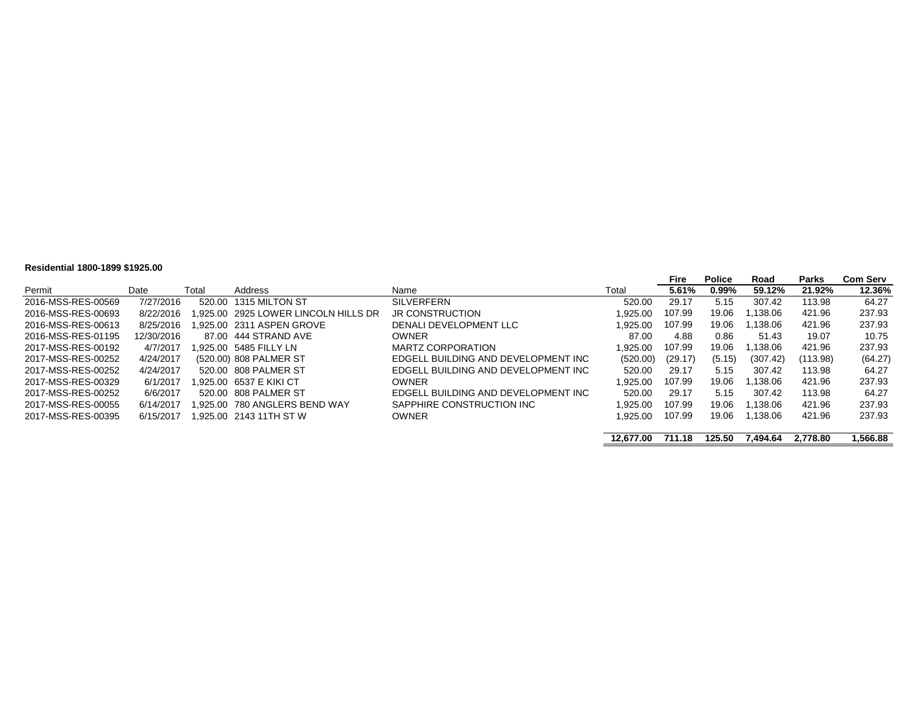#### **Residential 1800-1899 \$1925.00**

|                    |            |       |                                     |                                     |           | Fire    | <b>Police</b> | Road     | Parks    | <b>Com Serv</b> |
|--------------------|------------|-------|-------------------------------------|-------------------------------------|-----------|---------|---------------|----------|----------|-----------------|
| Permit             | Date       | Total | Address                             | Name                                | Total     | 5.61%   | $0.99\%$      | 59.12%   | 21.92%   | 12.36%          |
| 2016-MSS-RES-00569 | 7/27/2016  |       | 520.00 1315 MILTON ST               | <b>SILVERFERN</b>                   | 520.00    | 29.17   | 5.15          | 307.42   | 113.98   | 64.27           |
| 2016-MSS-RES-00693 | 8/22/2016  |       | .925.00 2925 LOWER LINCOLN HILLS DR | <b>JR CONSTRUCTION</b>              | 1.925.00  | 107.99  | 19.06         | 1.138.06 | 421.96   | 237.93          |
| 2016-MSS-RES-00613 | 8/25/2016  |       | .925.00 2311 ASPEN GROVE            | DENALI DEVELOPMENT LLC              | 1.925.00  | 107.99  | 19.06         | 1.138.06 | 421.96   | 237.93          |
| 2016-MSS-RES-01195 | 12/30/2016 |       | 87.00 444 STRAND AVE                | <b>OWNER</b>                        | 87.00     | 4.88    | 0.86          | 51.43    | 19.07    | 10.75           |
| 2017-MSS-RES-00192 | 4/7/2017   |       | .925.00 5485 FILLY LN               | <b>MARTZ CORPORATION</b>            | 1.925.00  | 107.99  | 19.06         | .138.06  | 421.96   | 237.93          |
| 2017-MSS-RES-00252 | 4/24/2017  |       | (520.00) 808 PALMER ST              | EDGELL BUILDING AND DEVELOPMENT INC | (520.00)  | (29.17) | (5.15)        | (307.42) | (113.98) | (64.27)         |
| 2017-MSS-RES-00252 | 4/24/2017  |       | 520.00 808 PALMER ST                | EDGELL BUILDING AND DEVELOPMENT INC | 520.00    | 29.17   | 5.15          | 307.42   | 113.98   | 64.27           |
| 2017-MSS-RES-00329 | 6/1/2017   |       | .925.00 6537 E KIKI CT              | <b>OWNER</b>                        | .925.00   | 107.99  | 19.06         | 1.138.06 | 421.96   | 237.93          |
| 2017-MSS-RES-00252 | 6/6/2017   |       | 520.00 808 PALMER ST                | EDGELL BUILDING AND DEVELOPMENT INC | 520.00    | 29.17   | 5.15          | 307.42   | 113.98   | 64.27           |
| 2017-MSS-RES-00055 | 6/14/2017  |       | .925.00 780 ANGLERS BEND WAY        | SAPPHIRE CONSTRUCTION INC           | 1.925.00  | 107.99  | 19.06         | 1.138.06 | 421.96   | 237.93          |
| 2017-MSS-RES-00395 | 6/15/2017  |       | .925.00 2143 11TH ST W              | <b>OWNER</b>                        | 1.925.00  | 107.99  | 19.06         | 1.138.06 | 421.96   | 237.93          |
|                    |            |       |                                     |                                     | 12.677.00 | 711.18  | 125.50        | 7.494.64 | 2.778.80 | 1,566.88        |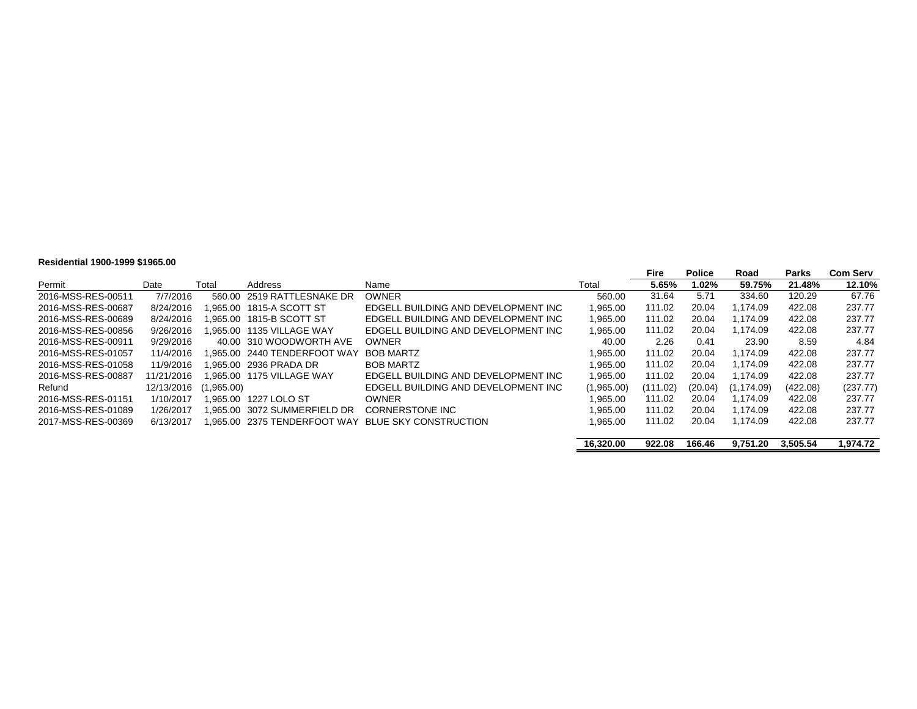#### **Residential 1900-1999 \$1965.00**

|                    |            |            |                                |                                     |            | Fire     | <b>Police</b> | Road        | Parks    | <b>Com Serv</b> |
|--------------------|------------|------------|--------------------------------|-------------------------------------|------------|----------|---------------|-------------|----------|-----------------|
| Permit             | Date       | Total      | Address                        | Name                                | Total      | 5.65%    | 1.02%         | 59.75%      | 21.48%   | 12.10%          |
| 2016-MSS-RES-00511 | 7/7/2016   |            | 560.00 2519 RATTLESNAKE DR     | <b>OWNER</b>                        | 560.00     | 31.64    | 5.71          | 334.60      | 120.29   | 67.76           |
| 2016-MSS-RES-00687 | 8/24/2016  |            |                                | EDGELL BUILDING AND DEVELOPMENT INC | 1.965.00   | 111.02   | 20.04         | 1.174.09    | 422.08   | 237.77          |
| 2016-MSS-RES-00689 | 8/24/2016  |            | 1.965.00 1815-B SCOTT ST       | EDGELL BUILDING AND DEVELOPMENT INC | 1.965.00   | 111.02   | 20.04         | 1.174.09    | 422.08   | 237.77          |
| 2016-MSS-RES-00856 | 9/26/2016  |            | 1.965.00 1135 VILLAGE WAY      | EDGELL BUILDING AND DEVELOPMENT INC | 1,965.00   | 111.02   | 20.04         | 1.174.09    | 422.08   | 237.77          |
| 2016-MSS-RES-00911 | 9/29/2016  |            | 40.00 310 WOODWORTH AVE        | <b>OWNER</b>                        | 40.00      | 2.26     | 0.41          | 23.90       | 8.59     | 4.84            |
| 2016-MSS-RES-01057 | 11/4/2016  |            | 1.965.00   2440 TENDERFOOT WAY | <b>BOB MARTZ</b>                    | 1.965.00   | 111.02   | 20.04         | 1.174.09    | 422.08   | 237.77          |
| 2016-MSS-RES-01058 | 11/9/2016  |            | 1.965.00 2936 PRADA DR         | <b>BOB MARTZ</b>                    | 1.965.00   | 111.02   | 20.04         | 1.174.09    | 422.08   | 237.77          |
| 2016-MSS-RES-00887 | 11/21/2016 |            | 1.965.00 1175 VILLAGE WAY      | EDGELL BUILDING AND DEVELOPMENT INC | 1.965.00   | 111.02   | 20.04         | 1.174.09    | 422.08   | 237.77          |
| Refund             | 12/13/2016 | (1,965.00) |                                | EDGELL BUILDING AND DEVELOPMENT INC | (1,965.00) | (111.02) | (20.04)       | (1, 174.09) | (422.08) | (237.77)        |
| 2016-MSS-RES-01151 | 1/10/2017  |            | 1.965.00 1227 LOLO ST          | <b>OWNER</b>                        | 1.965.00   | 111.02   | 20.04         | 1.174.09    | 422.08   | 237.77          |
| 2016-MSS-RES-01089 | 1/26/2017  |            | 1.965.00   3072 SUMMERFIELD DR | CORNERSTONE INC                     | 1.965.00   | 111.02   | 20.04         | 1.174.09    | 422.08   | 237.77          |
| 2017-MSS-RES-00369 | 6/13/2017  |            | 1.965.00   2375 TENDERFOOT WAY | BLUE SKY CONSTRUCTION               | 1.965.00   | 111.02   | 20.04         | 1.174.09    | 422.08   | 237.77          |
|                    |            |            |                                |                                     | 16.320.00  | 922.08   | 166.46        | 9.751.20    | 3.505.54 | 1.974.72        |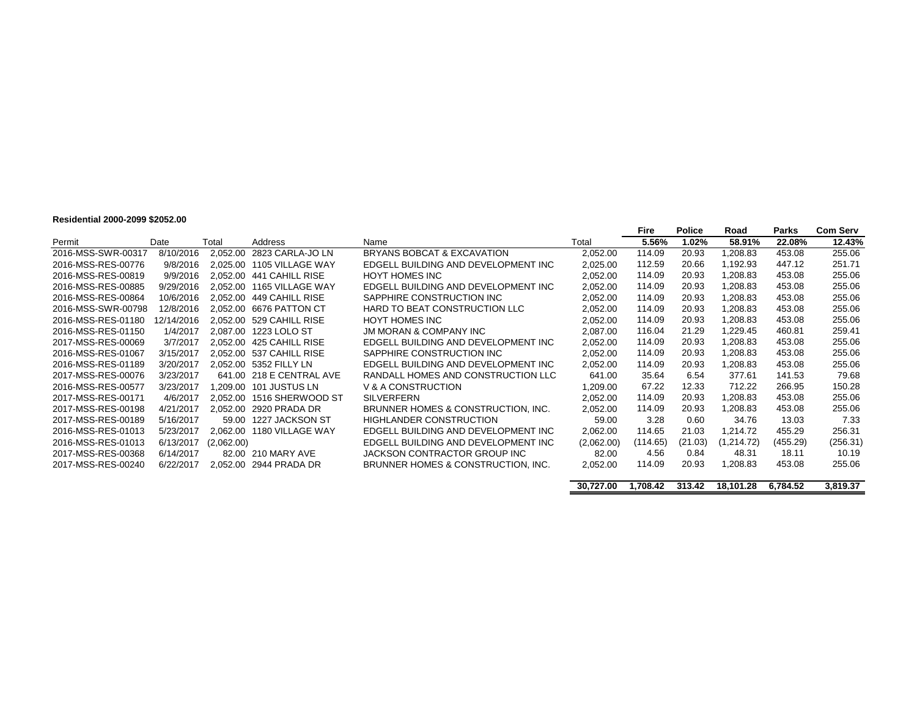#### **Residential 2000-2099 \$2052.00**

|                    |            |            |                        |                                     |            | Fire     | <b>Police</b> | Road       | <b>Parks</b> | <b>Com Serv</b> |
|--------------------|------------|------------|------------------------|-------------------------------------|------------|----------|---------------|------------|--------------|-----------------|
| Permit             | Date       | Total      | Address                | Name                                | Total      | 5.56%    | 1.02%         | 58.91%     | 22.08%       | 12.43%          |
| 2016-MSS-SWR-00317 | 8/10/2016  | 2,052.00   | 2823 CARLA-JO LN       | BRYANS BOBCAT & EXCAVATION          | 2,052.00   | 114.09   | 20.93         | ,208.83    | 453.08       | 255.06          |
| 2016-MSS-RES-00776 | 9/8/2016   | 2.025.00   | 1105 VILLAGE WAY       | EDGELL BUILDING AND DEVELOPMENT INC | 2,025.00   | 112.59   | 20.66         | 1,192.93   | 447.12       | 251.71          |
| 2016-MSS-RES-00819 | 9/9/2016   | 2.052.00   | 441 CAHILL RISE        | <b>HOYT HOMES INC</b>               | 2,052.00   | 114.09   | 20.93         | 208.83. ا  | 453.08       | 255.06          |
| 2016-MSS-RES-00885 | 9/29/2016  | 2.052.00   | 1165 VILLAGE WAY       | EDGELL BUILDING AND DEVELOPMENT INC | 2,052.00   | 114.09   | 20.93         | 1,208.83   | 453.08       | 255.06          |
| 2016-MSS-RES-00864 | 10/6/2016  | 2.052.00   | 449 CAHILL RISE        | SAPPHIRE CONSTRUCTION INC           | 2,052.00   | 114.09   | 20.93         | .208.83    | 453.08       | 255.06          |
| 2016-MSS-SWR-00798 | 12/8/2016  | 2.052.00   | 6676 PATTON CT         | HARD TO BEAT CONSTRUCTION LLC       | 2,052.00   | 114.09   | 20.93         | 1,208.83   | 453.08       | 255.06          |
| 2016-MSS-RES-01180 | 12/14/2016 | 2.052.00   | 529 CAHILL RISE        | <b>HOYT HOMES INC</b>               | 2,052.00   | 114.09   | 20.93         | .208.83    | 453.08       | 255.06          |
| 2016-MSS-RES-01150 | 1/4/2017   | 2.087.00   | 1223 LOLO ST           | <b>JM MORAN &amp; COMPANY INC.</b>  | 2.087.00   | 116.04   | 21.29         | 1,229.45   | 460.81       | 259.41          |
| 2017-MSS-RES-00069 | 3/7/2017   | 2.052.00   | 425 CAHILL RISE        | EDGELL BUILDING AND DEVELOPMENT INC | 2,052.00   | 114.09   | 20.93         | 208.83. ا  | 453.08       | 255.06          |
| 2016-MSS-RES-01067 | 3/15/2017  | 2.052.00   | 537 CAHILL RISE        | SAPPHIRE CONSTRUCTION INC           | 2.052.00   | 114.09   | 20.93         | .208.83    | 453.08       | 255.06          |
| 2016-MSS-RES-01189 | 3/20/2017  |            | 2,052.00 5352 FILLY LN | EDGELL BUILDING AND DEVELOPMENT INC | 2,052.00   | 114.09   | 20.93         | .208.83    | 453.08       | 255.06          |
| 2017-MSS-RES-00076 | 3/23/2017  | 641.00     | 218 E CENTRAL AVE      | RANDALL HOMES AND CONSTRUCTION LLC  | 641.00     | 35.64    | 6.54          | 377.61     | 141.53       | 79.68           |
| 2016-MSS-RES-00577 | 3/23/2017  | 1.209.00   | 101 JUSTUS LN          | V & A CONSTRUCTION                  | 1,209.00   | 67.22    | 12.33         | 712.22     | 266.95       | 150.28          |
| 2017-MSS-RES-00171 | 4/6/2017   | 2.052.00   | 1516 SHERWOOD ST       | <b>SILVERFERN</b>                   | 2,052.00   | 114.09   | 20.93         | 208.83. ا  | 453.08       | 255.06          |
| 2017-MSS-RES-00198 | 4/21/2017  | 2.052.00   | 2920 PRADA DR          | BRUNNER HOMES & CONSTRUCTION, INC.  | 2,052.00   | 114.09   | 20.93         | 1,208.83   | 453.08       | 255.06          |
| 2017-MSS-RES-00189 | 5/16/2017  | 59.00      | 1227 JACKSON ST        | <b>HIGHLANDER CONSTRUCTION</b>      | 59.00      | 3.28     | 0.60          | 34.76      | 13.03        | 7.33            |
| 2016-MSS-RES-01013 | 5/23/2017  | 2,062.00   | 1180 VILLAGE WAY       | EDGELL BUILDING AND DEVELOPMENT INC | 2,062.00   | 114.65   | 21.03         | 1,214.72   | 455.29       | 256.31          |
| 2016-MSS-RES-01013 | 6/13/2017  | (2,062.00) |                        | EDGELL BUILDING AND DEVELOPMENT INC | (2,062.00) | (114.65) | (21.03)       | (1.214.72) | (455.29)     | (256.31)        |
| 2017-MSS-RES-00368 | 6/14/2017  | 82.00      | 210 MARY AVE           | JACKSON CONTRACTOR GROUP INC        | 82.00      | 4.56     | 0.84          | 48.31      | 18.11        | 10.19           |
| 2017-MSS-RES-00240 | 6/22/2017  | 2,052.00   | 2944 PRADA DR          | BRUNNER HOMES & CONSTRUCTION, INC.  | 2,052.00   | 114.09   | 20.93         | .208.83    | 453.08       | 255.06          |
|                    |            |            |                        |                                     |            |          |               |            |              |                 |
|                    |            |            |                        |                                     | 30,727.00  | 1,708.42 | 313.42        | 18,101.28  | 6,784.52     | 3,819.37        |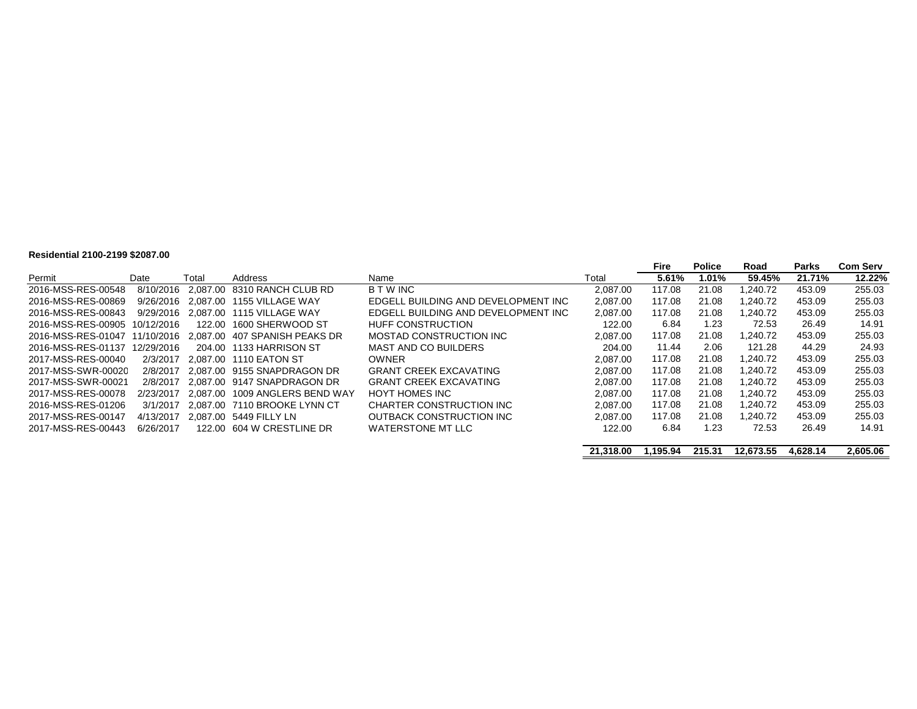#### **Residential 2100-2199 \$2087.00**

|                               |            |       |                                                                |                                     |           | <b>Fire</b> | <b>Police</b> | Road      | <b>Parks</b> | <b>Com Serv</b> |
|-------------------------------|------------|-------|----------------------------------------------------------------|-------------------------------------|-----------|-------------|---------------|-----------|--------------|-----------------|
| Permit                        | Date       | Total | Address                                                        | Name                                | Total     | 5.61%       | 1.01%         | 59.45%    | 21.71%       | 12.22%          |
| 2016-MSS-RES-00548            | 8/10/2016  |       | 2.087.00 8310 RANCH CLUB RD                                    | <b>B T W INC</b>                    | 2.087.00  | 117.08      | 21.08         | .240.72   | 453.09       | 255.03          |
| 2016-MSS-RES-00869            |            |       | 9/26/2016 2.087.00 1155 VILLAGE WAY                            | EDGELL BUILDING AND DEVELOPMENT INC | 2.087.00  | 117.08      | 21.08         | 1.240.72  | 453.09       | 255.03          |
| 2016-MSS-RES-00843            |            |       | 9/29/2016 2.087.00 1115 VILLAGE WAY                            | EDGELL BUILDING AND DEVELOPMENT INC | 2,087.00  | 117.08      | 21.08         | .240.72   | 453.09       | 255.03          |
| 2016-MSS-RES-00905 10/12/2016 |            |       | 122.00 1600 SHERWOOD ST                                        | HUFF CONSTRUCTION                   | 122.00    | 6.84        | 1.23          | 72.53     | 26.49        | 14.91           |
|                               |            |       | 2016-MSS-RES-01047  11/10/2016  2.087.00  407 SPANISH PEAKS DR | MOSTAD CONSTRUCTION INC             | 2.087.00  | 117.08      | 21.08         | 1.240.72  | 453.09       | 255.03          |
| 2016-MSS-RES-01137            | 12/29/2016 |       | 204.00 1133 HARRISON ST                                        | MAST AND CO BUILDERS                | 204.00    | 11.44       | 2.06          | 121.28    | 44.29        | 24.93           |
| 2017-MSS-RES-00040            | 2/3/2017   |       | 2.087.00 1110 EATON ST                                         | <b>OWNER</b>                        | 2.087.00  | 117.08      | 21.08         | 1.240.72  | 453.09       | 255.03          |
| 2017-MSS-SWR-00020            | 2/8/2017   |       | 2.087.00 9155 SNAPDRAGON DR                                    | <b>GRANT CREEK EXCAVATING</b>       | 2.087.00  | 117.08      | 21.08         | 1.240.72  | 453.09       | 255.03          |
| 2017-MSS-SWR-00021            | 2/8/2017   |       | 2.087.00 9147 SNAPDRAGON DR                                    | <b>GRANT CREEK EXCAVATING</b>       | 2.087.00  | 117.08      | 21.08         | .240.72   | 453.09       | 255.03          |
| 2017-MSS-RES-00078            | 2/23/2017  |       | 2.087.00 1009 ANGLERS BEND WAY                                 | HOYT HOMES INC                      | 2.087.00  | 117.08      | 21.08         | 1.240.72  | 453.09       | 255.03          |
| 2016-MSS-RES-01206            | 3/1/2017   |       | 2.087.00 7110 BROOKE LYNN CT                                   | CHARTER CONSTRUCTION INC            | 2.087.00  | 117.08      | 21.08         | 1.240.72  | 453.09       | 255.03          |
| 2017-MSS-RES-00147            | 4/13/2017  |       | 2.087.00 5449 FILLY LN                                         | OUTBACK CONSTRUCTION INC            | 2.087.00  | 117.08      | 21.08         | .240.72   | 453.09       | 255.03          |
| 2017-MSS-RES-00443            | 6/26/2017  |       | 122.00 604 W CRESTLINE DR                                      | WATERSTONE MT LLC                   | 122.00    | 6.84        | 1.23          | 72.53     | 26.49        | 14.91           |
|                               |            |       |                                                                |                                     | 21.318.00 | 1.195.94    | 215.31        | 12.673.55 | 4.628.14     | 2.605.06        |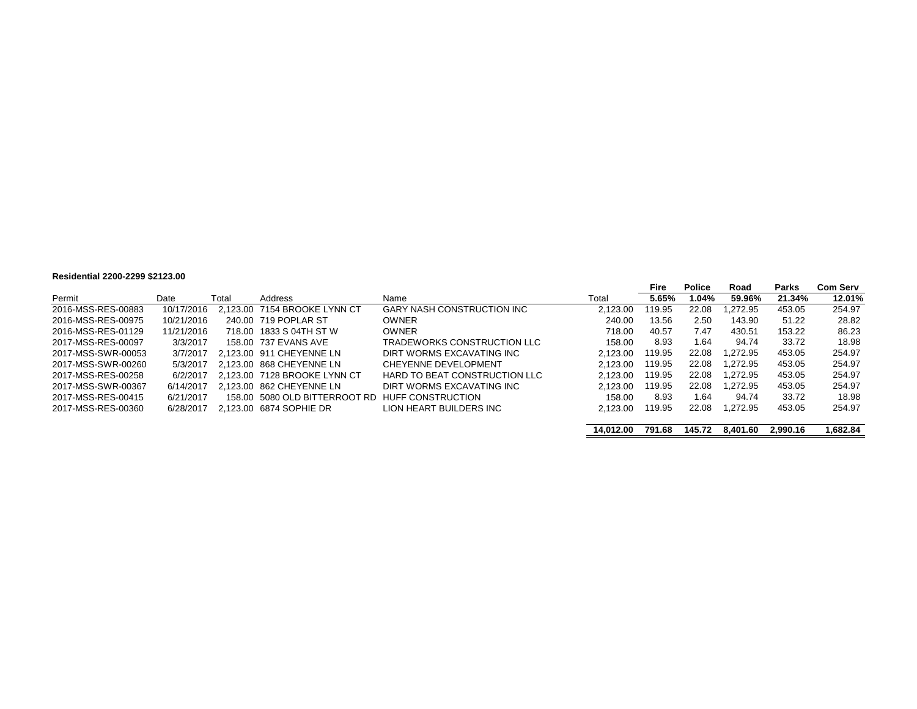#### **Residential 2200-2299 \$2123.00**

|                    |            |       |                               |                               |           | Fire   | <b>Police</b> | Road     | Parks    | <b>Com Serv</b> |
|--------------------|------------|-------|-------------------------------|-------------------------------|-----------|--------|---------------|----------|----------|-----------------|
| Permit             | Date       | Total | Address                       | Name                          | Total     | 5.65%  | 1.04%         | 59.96%   | 21.34%   | 12.01%          |
| 2016-MSS-RES-00883 | 10/17/2016 |       | 2.123.00 7154 BROOKE LYNN CT  | GARY NASH CONSTRUCTION INC    | 2.123.00  | 119.95 | 22.08         | 1.272.95 | 453.05   | 254.97          |
| 2016-MSS-RES-00975 | 10/21/2016 |       | 240.00 719 POPLAR ST          | <b>OWNER</b>                  | 240.00    | 13.56  | 2.50          | 143.90   | 51.22    | 28.82           |
| 2016-MSS-RES-01129 | 11/21/2016 |       | 718.00 1833 S 04TH ST W       | <b>OWNER</b>                  | 718.00    | 40.57  | 7.47          | 430.51   | 153.22   | 86.23           |
| 2017-MSS-RES-00097 | 3/3/2017   |       | 158.00 737 EVANS AVE          | TRADEWORKS CONSTRUCTION LLC   | 158.00    | 8.93   | 1.64          | 94.74    | 33.72    | 18.98           |
| 2017-MSS-SWR-00053 | 3/7/2017   |       | 2.123.00 911 CHEYENNE LN      | DIRT WORMS EXCAVATING INC     | 2.123.00  | 119.95 | 22.08         | 1.272.95 | 453.05   | 254.97          |
| 2017-MSS-SWR-00260 | 5/3/2017   |       | 2.123.00 868 CHEYENNE LN      | CHEYENNE DEVELOPMENT          | 2.123.00  | 119.95 | 22.08         | 1.272.95 | 453.05   | 254.97          |
| 2017-MSS-RES-00258 | 6/2/2017   |       | 2.123.00 7128 BROOKE LYNN CT  | HARD TO BEAT CONSTRUCTION LLC | 2.123.00  | 119.95 | 22.08         | 1.272.95 | 453.05   | 254.97          |
| 2017-MSS-SWR-00367 | 6/14/2017  |       | 2.123.00 862 CHEYENNE LN      | DIRT WORMS EXCAVATING INC     | 2.123.00  | 119.95 | 22.08         | 1.272.95 | 453.05   | 254.97          |
| 2017-MSS-RES-00415 | 6/21/2017  |       | 158.00 5080 OLD BITTERROOT RD | HUFF CONSTRUCTION             | 158.00    | 8.93   | 1.64          | 94.74    | 33.72    | 18.98           |
| 2017-MSS-RES-00360 | 6/28/2017  |       | 2.123.00 6874 SOPHIE DR       | LION HEART BUILDERS INC       | 2,123.00  | 119.95 | 22.08         | 1,272.95 | 453.05   | 254.97          |
|                    |            |       |                               |                               |           |        |               |          |          |                 |
|                    |            |       |                               |                               | 14.012.00 | 791.68 | 145.72        | 8.401.60 | 2.990.16 | .682.84         |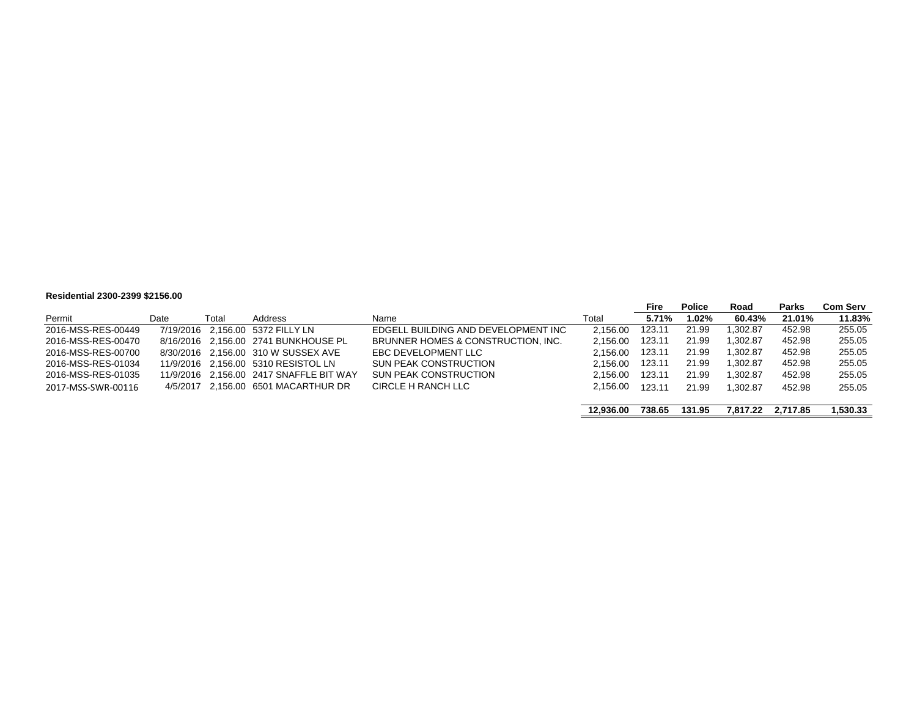#### **Residential 2300-2399 \$2156.00**

|                    |      |       |                                         |                                     |           | Fire   | <b>Police</b> | Road     | Parks    | <b>Com Serv</b> |
|--------------------|------|-------|-----------------------------------------|-------------------------------------|-----------|--------|---------------|----------|----------|-----------------|
| Permit             | Date | Total | Address                                 | Name                                | Total     | 5.71%  | 1.02%         | 60.43%   | 21.01%   | 11.83%          |
| 2016-MSS-RES-00449 |      |       | 7/19/2016 2.156.00 5372 FILLY LN        | EDGELL BUILDING AND DEVELOPMENT INC | 2.156.00  | 123.11 | 21.99         | 1.302.87 | 452.98   | 255.05          |
| 2016-MSS-RES-00470 |      |       | 8/16/2016 2.156.00 2741 BUNKHOUSE PL    | BRUNNER HOMES & CONSTRUCTION, INC.  | 2.156.00  | 123.11 | 21.99         | 1.302.87 | 452.98   | 255.05          |
| 2016-MSS-RES-00700 |      |       | 8/30/2016 2.156.00 310 W SUSSEX AVE     | EBC DEVELOPMENT LLC                 | 2.156.00  | 123.11 | 21.99         | 1.302.87 | 452.98   | 255.05          |
| 2016-MSS-RES-01034 |      |       | 11/9/2016 2.156.00 5310 RESISTOL LN     | <b>SUN PEAK CONSTRUCTION</b>        | 2.156.00  | 123.11 | 21.99         | 1.302.87 | 452.98   | 255.05          |
| 2016-MSS-RES-01035 |      |       | 11/9/2016 2,156.00 2417 SNAFFLE BIT WAY | <b>SUN PEAK CONSTRUCTION</b>        | 2.156.00  | 123.11 | 21.99         | 1.302.87 | 452.98   | 255.05          |
| 2017-MSS-SWR-00116 |      |       | 4/5/2017 2.156.00 6501 MACARTHUR DR     | CIRCLE H RANCH LLC                  | 2.156.00  | 123.11 | 21.99         | 1.302.87 | 452.98   | 255.05          |
|                    |      |       |                                         |                                     | 12.936.00 | 738.65 | 131.95        | 7.817.22 | 2.717.85 | 1.530.33        |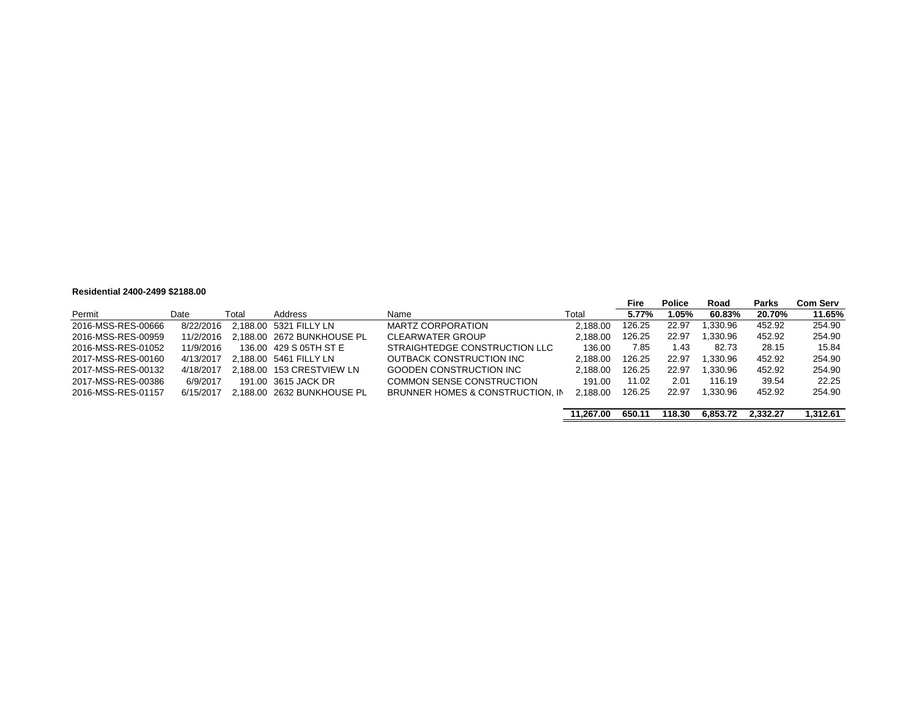#### **Residential 2400-2499 \$2188.00**

|                    |           |       |                            |                                  |           | Fire   | <b>Police</b> | Road     | <b>Parks</b> | <b>Com Serv</b> |
|--------------------|-----------|-------|----------------------------|----------------------------------|-----------|--------|---------------|----------|--------------|-----------------|
| Permit             | Date      | Total | Address                    | Name                             | Total     | 5.77%  | 1.05%         | 60.83%   | 20.70%       | 11.65%          |
| 2016-MSS-RES-00666 | 8/22/2016 |       | 2.188.00 5321 FILLY LN     | MARTZ CORPORATION                | 2.188.00  | 126.25 | 22.97         | 1.330.96 | 452.92       | 254.90          |
| 2016-MSS-RES-00959 | 11/2/2016 |       | 2.188.00 2672 BUNKHOUSE PL | <b>CLEARWATER GROUP</b>          | 2.188.00  | 126.25 | 22.97         | 1.330.96 | 452.92       | 254.90          |
| 2016-MSS-RES-01052 | 11/9/2016 |       | 136.00 429 S 05TH ST E     | STRAIGHTEDGE CONSTRUCTION LLC    | 136.00    | 7.85   | 1.43          | 82.73    | 28.15        | 15.84           |
| 2017-MSS-RES-00160 | 4/13/2017 |       | 2.188.00 5461 FILLY LN     | OUTBACK CONSTRUCTION INC         | 2.188.00  | 126.25 | 22.97         | 1.330.96 | 452.92       | 254.90          |
| 2017-MSS-RES-00132 | 4/18/2017 |       | 2.188.00 153 CRESTVIEW LN  | GOODEN CONSTRUCTION INC          | 2.188.00  | 126.25 | 22.97         | 1,330.96 | 452.92       | 254.90          |
| 2017-MSS-RES-00386 | 6/9/2017  |       | 191.00 3615 JACK DR        | COMMON SENSE CONSTRUCTION        | 191.00    | 11.02  | 2.01          | 116.19   | 39.54        | 22.25           |
| 2016-MSS-RES-01157 | 6/15/2017 |       | 2.188.00 2632 BUNKHOUSE PL | BRUNNER HOMES & CONSTRUCTION. IN | 2.188.00  | 126.25 | 22.97         | 1.330.96 | 452.92       | 254.90          |
|                    |           |       |                            |                                  |           |        |               |          |              |                 |
|                    |           |       |                            |                                  | 11.267.00 | 650.11 | 118.30        | 6.853.72 | 2.332.27     | 1,312.61        |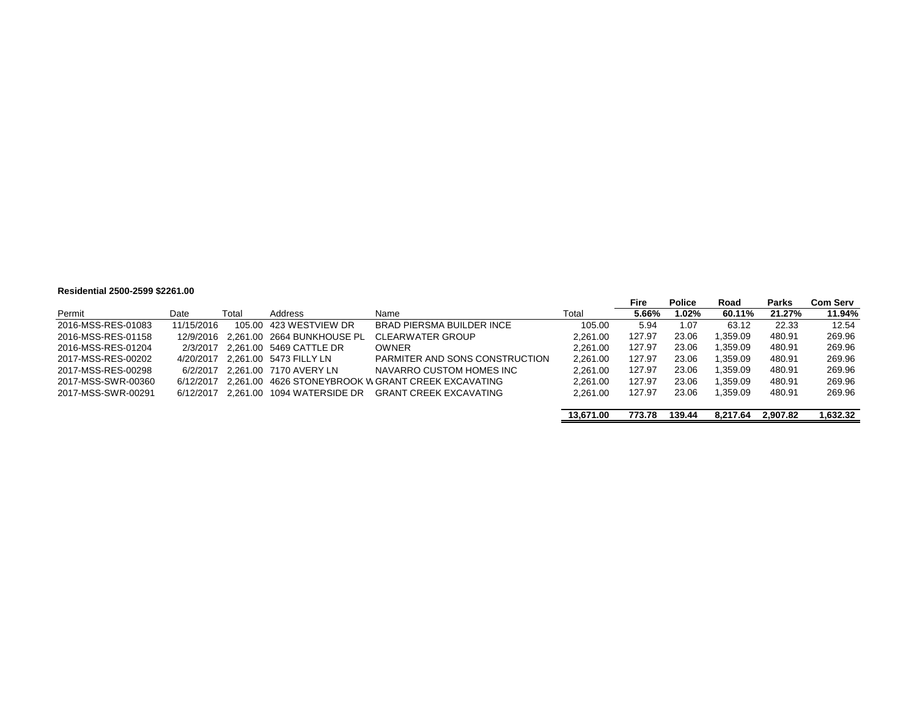#### **Residential 2500-2599 \$2261.00**

|                    |            |       |                                      |                                                    |           | Fire   | <b>Police</b> | Road     | <b>Parks</b> | Com Serv |
|--------------------|------------|-------|--------------------------------------|----------------------------------------------------|-----------|--------|---------------|----------|--------------|----------|
| Permit             | Date       | Total | Address                              | Name                                               | Total     | 5.66%  | 1.02%         | 60.11%   | 21.27%       | 11.94%   |
| 2016-MSS-RES-01083 | 11/15/2016 |       | 105.00 423 WESTVIEW DR               | BRAD PIERSMA BUILDER INCE                          | 105.00    | 5.94   | 1.07          | 63.12    | 22.33        | 12.54    |
| 2016-MSS-RES-01158 |            |       | 12/9/2016 2.261.00 2664 BUNKHOUSE PL | <b>CLEARWATER GROUP</b>                            | 2.261.00  | 127.97 | 23.06         | .359.09  | 480.91       | 269.96   |
| 2016-MSS-RES-01204 | 2/3/2017   |       | 2.261.00 5469 CATTLE DR              | <b>OWNER</b>                                       | 2.261.00  | 127.97 | 23.06         | .359.09  | 480.91       | 269.96   |
| 2017-MSS-RES-00202 |            |       | 4/20/2017 2.261.00 5473 FILLY LN     | PARMITER AND SONS CONSTRUCTION                     | 2.261.00  | 127.97 | 23.06         | .359.09  | 480.91       | 269.96   |
| 2017-MSS-RES-00298 | 6/2/2017   |       | 2.261.00 7170 AVERY LN               | NAVARRO CUSTOM HOMES INC                           | 2.261.00  | 127.97 | 23.06         | .359.09  | 480.91       | 269.96   |
| 2017-MSS-SWR-00360 | 6/12/2017  |       |                                      | 2.261.00 4626 STONEYBROOK W GRANT CREEK EXCAVATING | 2.261.00  | 127.97 | 23.06         | .359.09  | 480.91       | 269.96   |
| 2017-MSS-SWR-00291 | 6/12/2017  |       |                                      | <b>GRANT CREEK EXCAVATING</b>                      | 2.261.00  | 127.97 | 23.06         | .359.09  | 480.91       | 269.96   |
|                    |            |       |                                      |                                                    |           |        |               |          |              |          |
|                    |            |       |                                      |                                                    | 13.671.00 | 773.78 | 139.44        | 8.217.64 | 2.907.82     | 1,632.32 |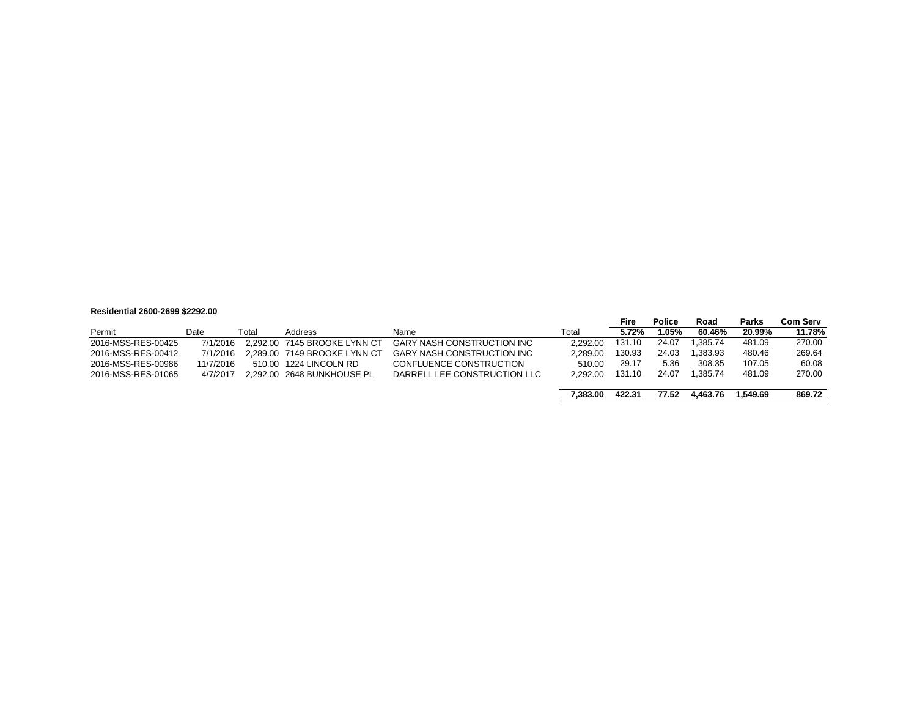#### **Residential 2600-2699 \$2292.00**

|                    |           |       |                              |                                   |          | Fire   | <b>Police</b> | Road     | <b>Parks</b> | Com Serv |
|--------------------|-----------|-------|------------------------------|-----------------------------------|----------|--------|---------------|----------|--------------|----------|
| Permit             | Date      | Total | Address                      | Name                              | Total    | 5.72%  | 1.05%         | 60.46%   | 20.99%       | 11.78%   |
| 2016-MSS-RES-00425 | 7/1/2016  |       | 2.292.00 7145 BROOKE LYNN CT | <b>GARY NASH CONSTRUCTION INC</b> | 2.292.00 | 131.10 | 24.07         | .385.74  | 481.09       | 270.00   |
| 2016-MSS-RES-00412 | 7/1/2016  |       | 2.289.00 7149 BROOKE LYNN CT | <b>GARY NASH CONSTRUCTION INC</b> | 2.289.00 | 130.93 | 24.03         | 1.383.93 | 480.46       | 269.64   |
| 2016-MSS-RES-00986 | 11/7/2016 |       | 510.00 1224 LINCOLN RD       | CONFLUENCE CONSTRUCTION           | 510.00   | 29.17  | 5.36          | 308.35   | 107.05       | 60.08    |
| 2016-MSS-RES-01065 | 4/7/2017  |       | 2.292.00 2648 BUNKHOUSE PL   | DARRELL LEE CONSTRUCTION LLC      | 2.292.00 | 131.10 | 24.07         | .385.74  | 481.09       | 270.00   |
|                    |           |       |                              |                                   |          |        |               |          |              |          |
|                    |           |       |                              |                                   | 7.383.00 | 422.31 | 77.52         | 4.463.76 | 1.549.69     | 869.72   |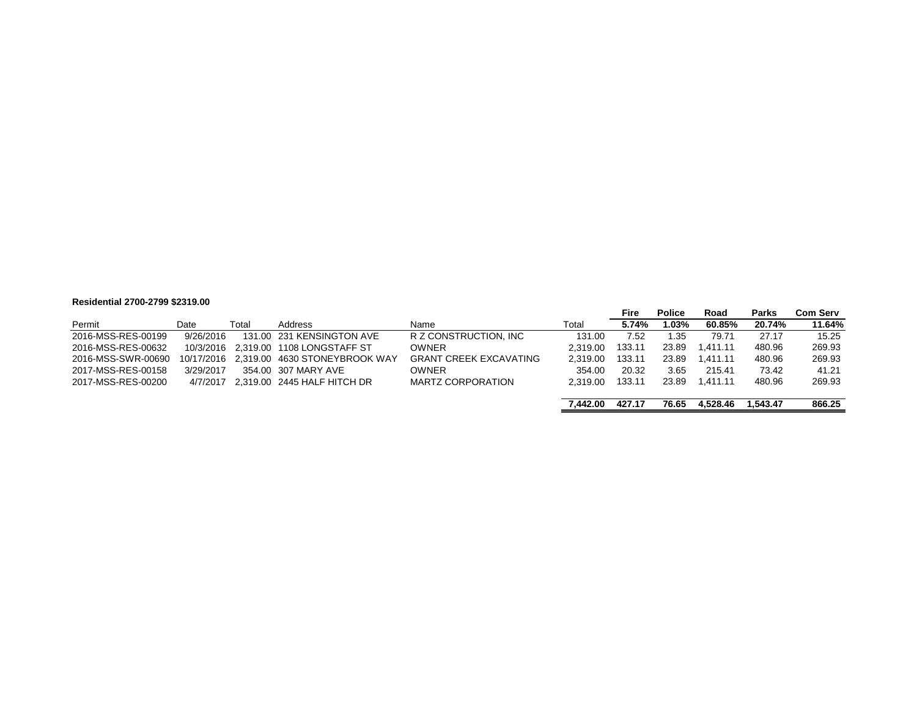#### **Residential 2700-2799 \$2319.00**

| $1163196111191 2199 - 2199 929 19.00$ |            |       |                                      |                               |          |        |               |          |              |                 |
|---------------------------------------|------------|-------|--------------------------------------|-------------------------------|----------|--------|---------------|----------|--------------|-----------------|
|                                       |            |       |                                      |                               |          | Fire   | <b>Police</b> | Road     | <b>Parks</b> | <b>Com Serv</b> |
| Permit                                | Date       | Total | Address                              | Name                          | Total    | 5.74%  | 1.03%         | 60.85%   | 20.74%       | 11.64%          |
| 2016-MSS-RES-00199                    | 9/26/2016  |       | 131.00 231 KENSINGTON AVE            | R Z CONSTRUCTION. INC         | 131.00   | 7.52   | 1.35          | 79.71    | 27.17        | 15.25           |
| 2016-MSS-RES-00632                    |            |       | 10/3/2016 2.319.00 1108 LONGSTAFF ST | <b>OWNER</b>                  | 2.319.00 | 133.11 | 23.89         | 1.411.11 | 480.96       | 269.93          |
| 2016-MSS-SWR-00690                    | 10/17/2016 |       | 2.319.00 4630 STONEYBROOK WAY        | <b>GRANT CREEK EXCAVATING</b> | 2.319.00 | 133.11 | 23.89         | 1.411.11 | 480.96       | 269.93          |
| 2017-MSS-RES-00158                    | 3/29/2017  |       | 354.00 307 MARY AVE                  | <b>OWNER</b>                  | 354.00   | 20.32  | 3.65          | 215.41   | 73.42        | 41.21           |
| 2017-MSS-RES-00200                    | 4/7/2017   |       | 2.319.00 2445 HALF HITCH DR          | <b>MARTZ CORPORATION</b>      | 2.319.00 | 133.11 | 23.89         | 1.411.11 | 480.96       | 269.93          |
|                                       |            |       |                                      |                               |          |        |               |          |              |                 |
|                                       |            |       |                                      |                               | 7.442.00 | 427.17 | 76.65         | 4.528.46 | 1.543.47     | 866.25          |
|                                       |            |       |                                      |                               |          |        |               |          |              |                 |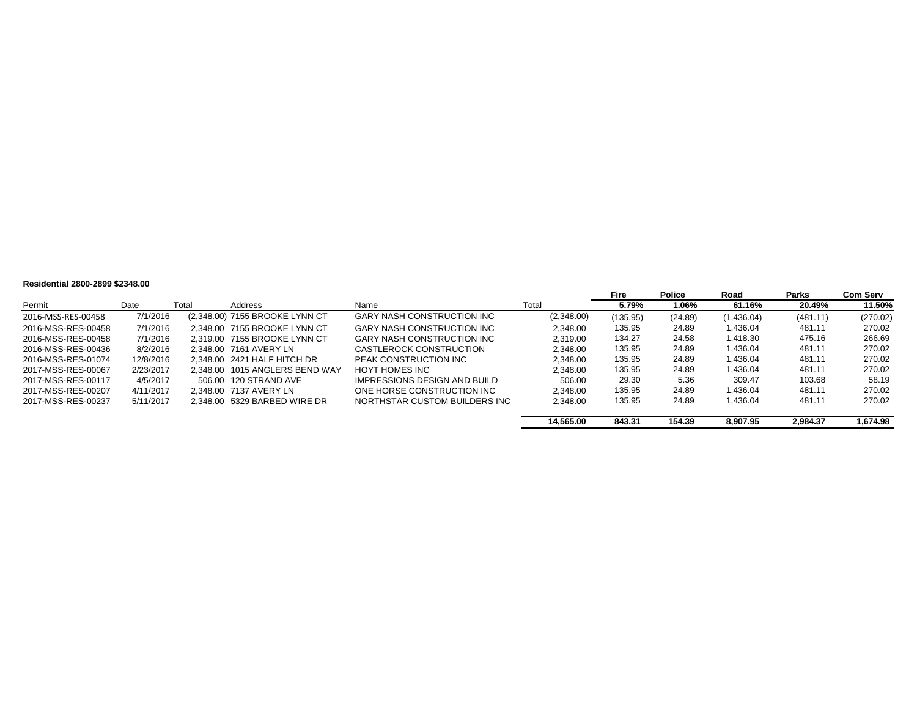#### **Residential 2800-2899 \$2348.00**

|                    |           |       |                                |                                   |            | <b>Fire</b> | <b>Police</b> | Road       | Parks    | <b>Com Serv</b> |
|--------------------|-----------|-------|--------------------------------|-----------------------------------|------------|-------------|---------------|------------|----------|-----------------|
| Permit             | Date      | Total | Address                        | Name                              | Total      | 5.79%       | 1.06%         | 61.16%     | 20.49%   | 11.50%          |
| 2016-MSS-RES-00458 | 7/1/2016  |       | (2,348.00) 7155 BROOKE LYNN CT | <b>GARY NASH CONSTRUCTION INC</b> | (2,348.00) | (135.95)    | (24.89)       | (1,436.04) | (481.11) | (270.02)        |
| 2016-MSS-RES-00458 | 7/1/2016  |       | 2.348.00 7155 BROOKE LYNN CT   | <b>GARY NASH CONSTRUCTION INC</b> | 2.348.00   | 135.95      | 24.89         | 1.436.04   | 481.11   | 270.02          |
| 2016-MSS-RES-00458 | 7/1/2016  |       | 2.319.00 7155 BROOKE LYNN CT   | GARY NASH CONSTRUCTION INC        | 2.319.00   | 134.27      | 24.58         | 1.418.30   | 475.16   | 266.69          |
| 2016-MSS-RES-00436 | 8/2/2016  |       | 2.348.00 7161 AVERY LN         | CASTLEROCK CONSTRUCTION           | 2.348.00   | 135.95      | 24.89         | 1.436.04   | 481.11   | 270.02          |
| 2016-MSS-RES-01074 | 12/8/2016 |       | 2.348.00 2421 HALF HITCH DR    | PEAK CONSTRUCTION INC             | 2.348.00   | 135.95      | 24.89         | 1.436.04   | 481.11   | 270.02          |
| 2017-MSS-RES-00067 | 2/23/2017 |       | 2.348.00 1015 ANGLERS BEND WAY | HOYT HOMES INC                    | 2.348.00   | 135.95      | 24.89         | 1.436.04   | 481.11   | 270.02          |
| 2017-MSS-RES-00117 | 4/5/2017  |       | 506.00 120 STRAND AVE          | IMPRESSIONS DESIGN AND BUILD      | 506.00     | 29.30       | 5.36          | 309.47     | 103.68   | 58.19           |
| 2017-MSS-RES-00207 | 4/11/2017 |       | 2.348.00 7137 AVERY LN         | ONE HORSE CONSTRUCTION INC        | 2.348.00   | 135.95      | 24.89         | 1.436.04   | 481.11   | 270.02          |
| 2017-MSS-RES-00237 | 5/11/2017 |       | 2.348.00 5329 BARBED WIRE DR   | NORTHSTAR CUSTOM BUILDERS INC     | 2,348.00   | 135.95      | 24.89         | 1.436.04   | 481.11   | 270.02          |
|                    |           |       |                                |                                   | 14.565.00  | 843.31      | 154.39        | 8.907.95   | 2.984.37 | 1.674.98        |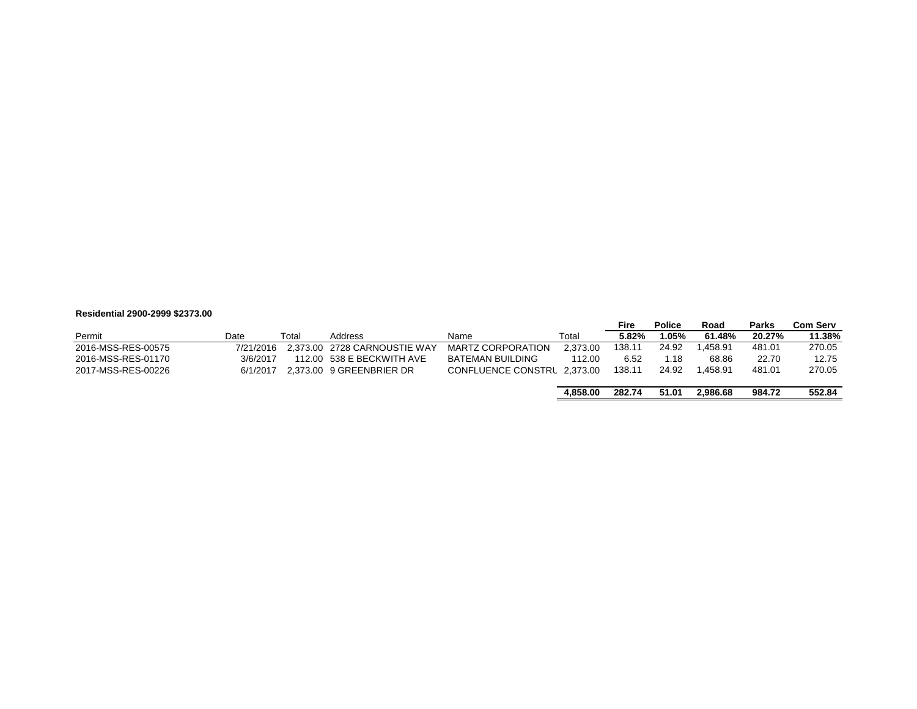#### **Residential 2900-2999 \$2373.00**

|                    |           |       |                              |                             |          | Fire   | <b>Police</b> | Road     | <b>Parks</b> | <b>Com Serv</b> |
|--------------------|-----------|-------|------------------------------|-----------------------------|----------|--------|---------------|----------|--------------|-----------------|
| Permit             | Date      | Total | Address                      | Name                        | Total    | 5.82%  | l.05%         | 61.48%   | 20.27%       | 11.38%          |
| 2016-MSS-RES-00575 | 7/21/2016 |       | 2.373.00 2728 CARNOUSTIE WAY | <b>MARTZ CORPORATION</b>    | 2.373.00 | 138.11 | 24.92         | .458.91  | 481.01       | 270.05          |
| 2016-MSS-RES-01170 | 3/6/2017  |       | 112.00 538 E BECKWITH AVE    | BATEMAN BUILDING            | 112.00   | 6.52   | 1.18          | 68.86    | 22.70        | 12.75           |
| 2017-MSS-RES-00226 | 6/1/2017  |       | 2.373.00 9 GREENBRIER DR     | CONFLUENCE CONSTRL 2.373.00 |          | 138.11 | 24.92         | l.458.91 | 481.01       | 270.05          |
|                    |           |       |                              |                             |          |        |               |          |              |                 |
|                    |           |       |                              |                             | 4.858.00 | 282.74 | 51.01         | 2.986.68 | 984.72       | 552.84          |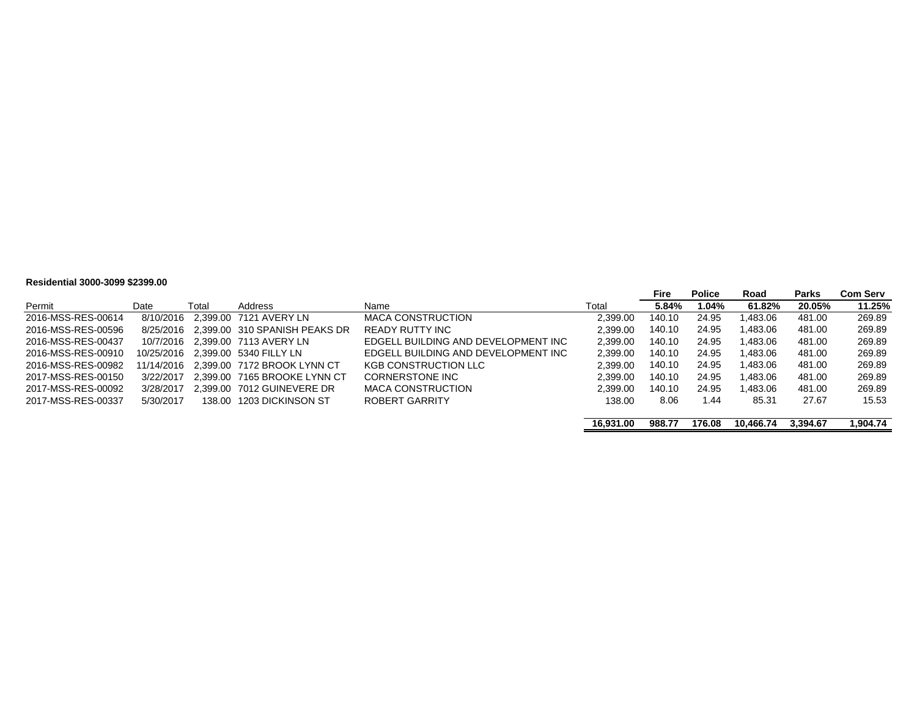#### **Residential 3000-3099 \$2399.00**

|                    |           |       |                                         |                                     |           | <b>Fire</b> | <b>Police</b> | Road      | Parks    | Com Serv |
|--------------------|-----------|-------|-----------------------------------------|-------------------------------------|-----------|-------------|---------------|-----------|----------|----------|
| Permit             | Date      | Total | Address                                 | Name                                | Total     | 5.84%       | 1.04%         | 61.82%    | 20.05%   | 11.25%   |
| 2016-MSS-RES-00614 | 8/10/2016 |       | 2.399.00 7121 AVERY LN                  | <b>MACA CONSTRUCTION</b>            | 2.399.00  | 140.10      | 24.95         | 1.483.06  | 481.00   | 269.89   |
| 2016-MSS-RES-00596 |           |       | 8/25/2016 2.399.00 310 SPANISH PEAKS DR | READY RUTTY INC                     | 2.399.00  | 140.10      | 24.95         | 1.483.06  | 481.00   | 269.89   |
| 2016-MSS-RES-00437 |           |       | 10/7/2016 2.399.00 7113 AVERY LN        | EDGELL BUILDING AND DEVELOPMENT INC | 2.399.00  | 140.10      | 24.95         | 1.483.06  | 481.00   | 269.89   |
| 2016-MSS-RES-00910 |           |       | 10/25/2016 2.399.00 5340 FILLY LN       | EDGELL BUILDING AND DEVELOPMENT INC | 2,399.00  | 140.10      | 24.95         | .483.06   | 481.00   | 269.89   |
| 2016-MSS-RES-00982 |           |       | 11/14/2016 2.399.00 7172 BROOK LYNN CT  | <b>KGB CONSTRUCTION LLC</b>         | 2.399.00  | 140.10      | 24.95         | .483.06   | 481.00   | 269.89   |
| 2017-MSS-RES-00150 | 3/22/2017 |       | 2.399.00 7165 BROOKE LYNN CT            | CORNERSTONE INC                     | 2.399.00  | 140.10      | 24.95         | .483.06   | 481.00   | 269.89   |
| 2017-MSS-RES-00092 | 3/28/2017 |       | 2.399.00 7012 GUINEVERE DR              | MACA CONSTRUCTION                   | 2.399.00  | 140.10      | 24.95         | 1.483.06  | 481.00   | 269.89   |
| 2017-MSS-RES-00337 | 5/30/2017 |       | 138.00 1203 DICKINSON ST                | ROBERT GARRITY                      | 138.00    | 8.06        | 1.44          | 85.31     | 27.67    | 15.53    |
|                    |           |       |                                         |                                     | 16.931.00 | 988.77      | 176.08        | 10.466.74 | 3.394.67 | 1.904.74 |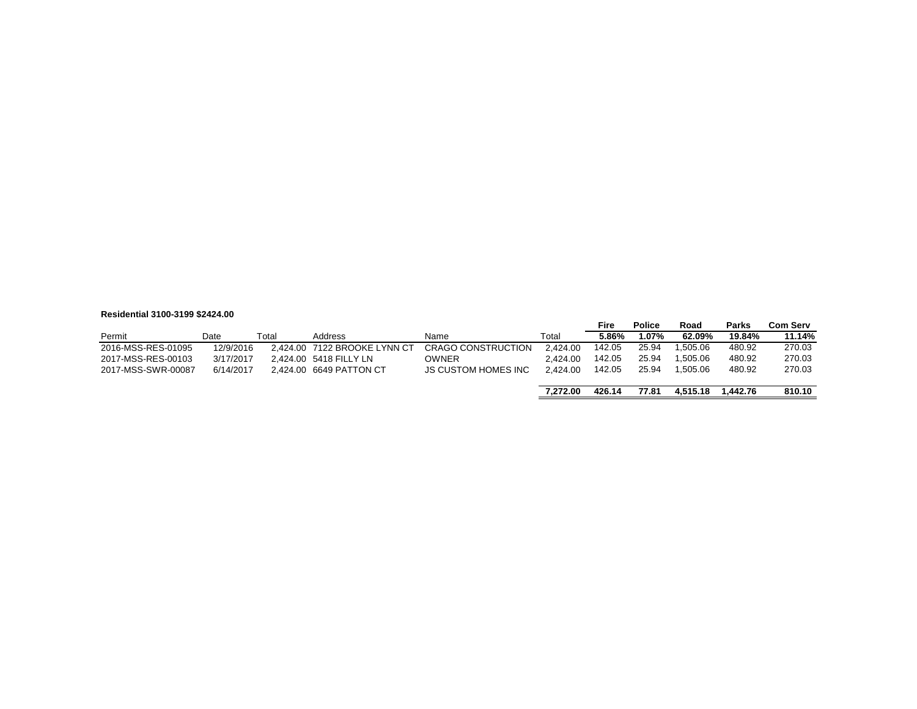#### **Residential 3100-3199 \$2424.00**

|                    |           |       |                              |                            |          | Fire   | Police | Road     | <b>Parks</b> | <b>Com Serv</b> |
|--------------------|-----------|-------|------------------------------|----------------------------|----------|--------|--------|----------|--------------|-----------------|
| Permit             | Date      | Total | Address                      | Name                       | Total    | 5.86%  | 1.07%  | 62.09%   | 19.84%       | 11.14%          |
| 2016-MSS-RES-01095 | 12/9/2016 |       | 2.424.00 7122 BROOKE LYNN CT | <b>CRAGO CONSTRUCTION</b>  | 2.424.00 | 142.05 | 25.94  | .505.06  | 480.92       | 270.03          |
| 2017-MSS-RES-00103 | 3/17/2017 |       | 2.424.00 5418 FILLY LN       | <b>OWNER</b>               | 2.424.00 | 142.05 | 25.94  | 1.505.06 | 480.92       | 270.03          |
| 2017-MSS-SWR-00087 | 6/14/2017 |       | 2.424.00 6649 PATTON CT      | <b>JS CUSTOM HOMES INC</b> | 2.424.00 | 142.05 | 25.94  | 1.505.06 | 480.92       | 270.03          |
|                    |           |       |                              |                            |          |        |        |          |              |                 |
|                    |           |       |                              |                            | 7.272.00 | 426.14 | 77.81  | 4.515.18 | 1.442.76     | 810.10          |

 $\equiv$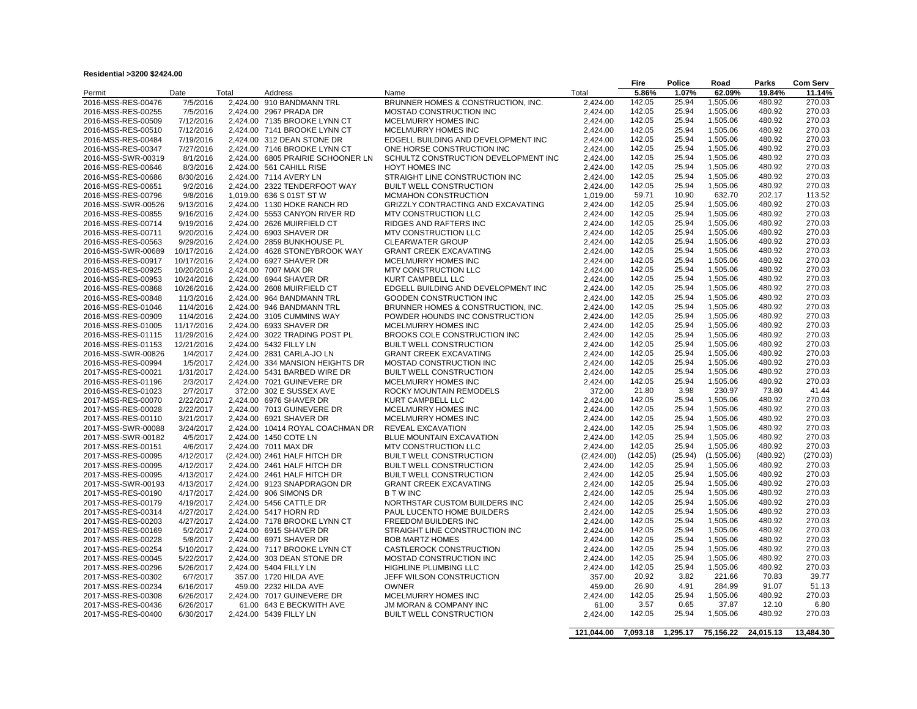| Residential >3200 \$2424.00 |  |
|-----------------------------|--|
|                             |  |

|                    |            |          |                                   |                                      |            | Fire     | Police   | Road       | Parks     | <b>Com Serv</b> |
|--------------------|------------|----------|-----------------------------------|--------------------------------------|------------|----------|----------|------------|-----------|-----------------|
| Permit             | Date       | Total    | Address                           | Name                                 | Total      | 5.86%    | 1.07%    | 62.09%     | 19.84%    | 11.14%          |
| 2016-MSS-RES-00476 | 7/5/2016   | 2,424.00 | 910 BANDMANN TRL                  | BRUNNER HOMES & CONSTRUCTION, INC.   | 2,424.00   | 142.05   | 25.94    | 1,505.06   | 480.92    | 270.03          |
| 2016-MSS-RES-00255 | 7/5/2016   |          | 2.424.00 2967 PRADA DR            | MOSTAD CONSTRUCTION INC              | 2,424.00   | 142.05   | 25.94    | 1,505.06   | 480.92    | 270.03          |
| 2016-MSS-RES-00509 | 7/12/2016  |          | 2,424.00 7135 BROOKE LYNN CT      | MCELMURRY HOMES INC                  | 2,424.00   | 142.05   | 25.94    | 1,505.06   | 480.92    | 270.03          |
| 2016-MSS-RES-00510 | 7/12/2016  |          | 2,424.00 7141 BROOKE LYNN CT      | MCELMURRY HOMES INC                  | 2,424.00   | 142.05   | 25.94    | 1,505.06   | 480.92    | 270.03          |
|                    |            |          |                                   |                                      |            | 142.05   | 25.94    | 1,505.06   | 480.92    | 270.03          |
| 2016-MSS-RES-00484 | 7/19/2016  |          | 2,424.00 312 DEAN STONE DR        | EDGELL BUILDING AND DEVELOPMENT INC  | 2,424.00   |          |          |            |           |                 |
| 2016-MSS-RES-00347 | 7/27/2016  |          | 2,424.00 7146 BROOKE LYNN CT      | ONE HORSE CONSTRUCTION INC           | 2.424.00   | 142.05   | 25.94    | 1,505.06   | 480.92    | 270.03          |
| 2016-MSS-SWR-00319 | 8/1/2016   |          | 2,424.00 6805 PRAIRIE SCHOONER LN | SCHULTZ CONSTRUCTION DEVELOPMENT INC | 2,424.00   | 142.05   | 25.94    | 1,505.06   | 480.92    | 270.03          |
| 2016-MSS-RES-00646 | 8/3/2016   |          | 2,424.00 561 CAHILL RISE          | <b>HOYT HOMES INC</b>                | 2,424.00   | 142.05   | 25.94    | 1,505.06   | 480.92    | 270.03          |
| 2016-MSS-RES-00686 | 8/30/2016  |          | 2,424.00 7114 AVERY LN            | STRAIGHT LINE CONSTRUCTION INC       | 2,424.00   | 142.05   | 25.94    | 1,505.06   | 480.92    | 270.03          |
| 2016-MSS-RES-00651 | 9/2/2016   |          | 2,424.00 2322 TENDERFOOT WAY      | <b>BUILT WELL CONSTRUCTION</b>       | 2.424.00   | 142.05   | 25.94    | 1,505.06   | 480.92    | 270.03          |
| 2016-MSS-RES-00796 | 9/8/2016   |          | 1,019.00 636 S 01ST ST W          | MCMAHON CONSTRUCTION                 | 1,019.00   | 59.71    | 10.90    | 632.70     | 202.17    | 113.52          |
| 2016-MSS-SWR-00526 | 9/13/2016  |          | 2,424.00 1130 HOKE RANCH RD       | GRIZZLY CONTRACTING AND EXCAVATING   | 2,424.00   | 142.05   | 25.94    | 1,505.06   | 480.92    | 270.03          |
| 2016-MSS-RES-00855 | 9/16/2016  | 2,424.00 | 5553 CANYON RIVER RD              | MTV CONSTRUCTION LLC                 | 2,424.00   | 142.05   | 25.94    | 1,505.06   | 480.92    | 270.03          |
| 2016-MSS-RES-00714 | 9/19/2016  |          | 2,424.00 2626 MUIRFIELD CT        | RIDGES AND RAFTERS INC               | 2,424.00   | 142.05   | 25.94    | 1,505.06   | 480.92    | 270.03          |
| 2016-MSS-RES-00711 | 9/20/2016  |          | 2,424.00 6903 SHAVER DR           | MTV CONSTRUCTION LLC                 | 2,424.00   | 142.05   | 25.94    | 1,505.06   | 480.92    | 270.03          |
| 2016-MSS-RES-00563 | 9/29/2016  |          | 2,424.00 2859 BUNKHOUSE PL        | <b>CLEARWATER GROUP</b>              | 2,424.00   | 142.05   | 25.94    | 1,505.06   | 480.92    | 270.03          |
|                    | 10/17/2016 | 2,424.00 | 4628 STONEYBROOK WAY              | <b>GRANT CREEK EXCAVATING</b>        | 2,424.00   | 142.05   | 25.94    | 1,505.06   | 480.92    | 270.03          |
| 2016-MSS-SWR-00689 |            |          |                                   |                                      |            | 142.05   | 25.94    | 1,505.06   | 480.92    | 270.03          |
| 2016-MSS-RES-00917 | 10/17/2016 |          | 2.424.00 6927 SHAVER DR           | MCELMURRY HOMES INC                  | 2.424.00   |          |          |            |           |                 |
| 2016-MSS-RES-00925 | 10/20/2016 |          | 2,424.00 7007 MAX DR              | MTV CONSTRUCTION LLC                 | 2,424.00   | 142.05   | 25.94    | 1,505.06   | 480.92    | 270.03          |
| 2016-MSS-RES-00953 | 10/24/2016 |          | 2,424.00 6944 SHAVER DR           | <b>KURT CAMPBELL LLC</b>             | 2.424.00   | 142.05   | 25.94    | 1,505.06   | 480.92    | 270.03          |
| 2016-MSS-RES-00868 | 10/26/2016 | 2,424.00 | 2608 MUIRFIELD CT                 | EDGELL BUILDING AND DEVELOPMENT INC  | 2,424.00   | 142.05   | 25.94    | 1,505.06   | 480.92    | 270.03          |
| 2016-MSS-RES-00848 | 11/3/2016  |          | 2.424.00 964 BANDMANN TRL         | <b>GOODEN CONSTRUCTION INC</b>       | 2.424.00   | 142.05   | 25.94    | 1,505.06   | 480.92    | 270.03          |
| 2016-MSS-RES-01046 | 11/4/2016  |          | 2,424.00 946 BANDMANN TRL         | BRUNNER HOMES & CONSTRUCTION, INC.   | 2,424.00   | 142.05   | 25.94    | 1,505.06   | 480.92    | 270.03          |
| 2016-MSS-RES-00909 | 11/4/2016  |          | 2.424.00 3105 CUMMINS WAY         | POWDER HOUNDS INC CONSTRUCTION       | 2,424.00   | 142.05   | 25.94    | 1,505.06   | 480.92    | 270.03          |
| 2016-MSS-RES-01005 | 11/17/2016 |          | 2,424.00 6933 SHAVER DR           | MCELMURRY HOMES INC                  | 2,424.00   | 142.05   | 25.94    | 1,505.06   | 480.92    | 270.03          |
| 2016-MSS-RES-01115 | 11/29/2016 |          | 2.424.00 3022 TRADING POST PL     | BROOKS COLE CONSTRUCTION INC         | 2.424.00   | 142.05   | 25.94    | 1,505.06   | 480.92    | 270.03          |
| 2016-MSS-RES-01153 | 12/21/2016 |          | 2,424.00 5432 FILLY LN            | <b>BUILT WELL CONSTRUCTION</b>       | 2,424.00   | 142.05   | 25.94    | 1,505.06   | 480.92    | 270.03          |
| 2016-MSS-SWR-00826 | 1/4/2017   |          | 2,424.00 2831 CARLA-JO LN         | <b>GRANT CREEK EXCAVATING</b>        | 2,424.00   | 142.05   | 25.94    | 1,505.06   | 480.92    | 270.03          |
| 2016-MSS-RES-00994 | 1/5/2017   | 2,424.00 | 334 MANSION HEIGHTS DR            | MOSTAD CONSTRUCTION INC              | 2,424.00   | 142.05   | 25.94    | 1,505.06   | 480.92    | 270.03          |
| 2017-MSS-RES-00021 | 1/31/2017  |          | 2,424.00 5431 BARBED WIRE DR      | <b>BUILT WELL CONSTRUCTION</b>       | 2,424.00   | 142.05   | 25.94    | 1,505.06   | 480.92    | 270.03          |
| 2016-MSS-RES-01196 | 2/3/2017   |          | 2,424.00 7021 GUINEVERE DR        | MCELMURRY HOMES INC                  | 2,424.00   | 142.05   | 25.94    | 1,505.06   | 480.92    | 270.03          |
| 2016-MSS-RES-01023 | 2/7/2017   |          | 372.00 302 E SUSSEX AVE           | ROCKY MOUNTAIN REMODELS              | 372.00     | 21.80    | 3.98     | 230.97     | 73.80     | 41.44           |
| 2017-MSS-RES-00070 | 2/22/2017  |          | 2,424.00 6976 SHAVER DR           | KURT CAMPBELL LLC                    | 2,424.00   | 142.05   | 25.94    | 1,505.06   | 480.92    | 270.03          |
|                    | 2/22/2017  |          | 2,424.00 7013 GUINEVERE DR        | MCELMURRY HOMES INC                  | 2,424.00   | 142.05   | 25.94    | 1,505.06   | 480.92    | 270.03          |
| 2017-MSS-RES-00028 |            |          |                                   |                                      |            | 142.05   | 25.94    | 1,505.06   | 480.92    | 270.03          |
| 2017-MSS-RES-00110 | 3/21/2017  |          | 2,424.00 6921 SHAVER DR           | MCELMURRY HOMES INC                  | 2,424.00   |          |          |            |           |                 |
| 2017-MSS-SWR-00088 | 3/24/2017  |          | 2,424.00 10414 ROYAL COACHMAN DR  | <b>REVEAL EXCAVATION</b>             | 2,424.00   | 142.05   | 25.94    | 1,505.06   | 480.92    | 270.03          |
| 2017-MSS-SWR-00182 | 4/5/2017   |          | 2,424.00 1450 COTE LN             | BLUE MOUNTAIN EXCAVATION             | 2,424.00   | 142.05   | 25.94    | 1,505.06   | 480.92    | 270.03          |
| 2017-MSS-RES-00151 | 4/6/2017   |          | 2,424.00 7011 MAX DR              | MTV CONSTRUCTION LLC                 | 2,424.00   | 142.05   | 25.94    | 1,505.06   | 480.92    | 270.03          |
| 2017-MSS-RES-00095 | 4/12/2017  |          | (2,424.00) 2461 HALF HITCH DR     | <b>BUILT WELL CONSTRUCTION</b>       | (2,424.00) | (142.05) | (25.94)  | (1,505.06) | (480.92)  | (270.03)        |
| 2017-MSS-RES-00095 | 4/12/2017  |          | 2,424.00 2461 HALF HITCH DR       | <b>BUILT WELL CONSTRUCTION</b>       | 2,424.00   | 142.05   | 25.94    | 1,505.06   | 480.92    | 270.03          |
| 2017-MSS-RES-00095 | 4/13/2017  |          | 2,424.00 2461 HALF HITCH DR       | <b>BUILT WELL CONSTRUCTION</b>       | 2,424.00   | 142.05   | 25.94    | 1,505.06   | 480.92    | 270.03          |
| 2017-MSS-SWR-00193 | 4/13/2017  |          | 2,424.00 9123 SNAPDRAGON DR       | <b>GRANT CREEK EXCAVATING</b>        | 2,424.00   | 142.05   | 25.94    | 1,505.06   | 480.92    | 270.03          |
| 2017-MSS-RES-00190 | 4/17/2017  |          | 2,424.00 906 SIMONS DR            | <b>BTWINC</b>                        | 2.424.00   | 142.05   | 25.94    | 1,505.06   | 480.92    | 270.03          |
| 2017-MSS-RES-00179 | 4/19/2017  |          | 2,424.00 5456 CATTLE DR           | NORTHSTAR CUSTOM BUILDERS INC        | 2,424.00   | 142.05   | 25.94    | 1,505.06   | 480.92    | 270.03          |
| 2017-MSS-RES-00314 | 4/27/2017  |          | 2.424.00 5417 HORN RD             | PAUL LUCENTO HOME BUILDERS           | 2,424.00   | 142.05   | 25.94    | 1,505.06   | 480.92    | 270.03          |
| 2017-MSS-RES-00203 | 4/27/2017  |          | 2,424.00 7178 BROOKE LYNN CT      | FREEDOM BUILDERS INC                 | 2,424.00   | 142.05   | 25.94    | 1,505.06   | 480.92    | 270.03          |
| 2017-MSS-RES-00169 | 5/2/2017   |          | 2.424.00 6915 SHAVER DR           | STRAIGHT LINE CONSTRUCTION INC       | 2.424.00   | 142.05   | 25.94    | 1,505.06   | 480.92    | 270.03          |
| 2017-MSS-RES-00228 | 5/8/2017   |          | 2,424.00 6971 SHAVER DR           | <b>BOB MARTZ HOMES</b>               | 2,424.00   | 142.05   | 25.94    | 1,505.06   | 480.92    | 270.03          |
|                    |            |          |                                   | <b>CASTLEROCK CONSTRUCTION</b>       |            | 142.05   | 25.94    | 1,505.06   | 480.92    | 270.03          |
| 2017-MSS-RES-00254 | 5/10/2017  |          | 2.424.00 7117 BROOKE LYNN CT      |                                      | 2,424.00   |          |          |            |           |                 |
| 2017-MSS-RES-00045 | 5/22/2017  |          | 2,424.00 303 DEAN STONE DR        | MOSTAD CONSTRUCTION INC              | 2,424.00   | 142.05   | 25.94    | 1,505.06   | 480.92    | 270.03          |
| 2017-MSS-RES-00296 | 5/26/2017  |          | 2.424.00 5404 FILLY LN            | HIGHLINE PLUMBING LLC                | 2,424.00   | 142.05   | 25.94    | 1,505.06   | 480.92    | 270.03          |
| 2017-MSS-RES-00302 | 6/7/2017   |          | 357.00 1720 HILDA AVE             | JEFF WILSON CONSTRUCTION             | 357.00     | 20.92    | 3.82     | 221.66     | 70.83     | 39.77           |
| 2017-MSS-RES-00234 | 6/16/2017  |          | 459.00 2232 HILDA AVE             | <b>OWNER</b>                         | 459.00     | 26.90    | 4.91     | 284.99     | 91.07     | 51.13           |
| 2017-MSS-RES-00308 | 6/26/2017  |          | 2,424.00 7017 GUINEVERE DR        | MCELMURRY HOMES INC                  | 2,424.00   | 142.05   | 25.94    | 1,505.06   | 480.92    | 270.03          |
| 2017-MSS-RES-00436 | 6/26/2017  |          | 61.00 643 E BECKWITH AVE          | JM MORAN & COMPANY INC               | 61.00      | 3.57     | 0.65     | 37.87      | 12.10     | 6.80            |
| 2017-MSS-RES-00400 | 6/30/2017  |          | 2,424.00 5439 FILLY LN            | <b>BUILT WELL CONSTRUCTION</b>       | 2,424.00   | 142.05   | 25.94    | 1,505.06   | 480.92    | 270.03          |
|                    |            |          |                                   |                                      |            |          |          |            |           |                 |
|                    |            |          |                                   |                                      | 121,044.00 | 7,093.18 | 1,295.17 | 75,156.22  | 24,015.13 | 13,484.30       |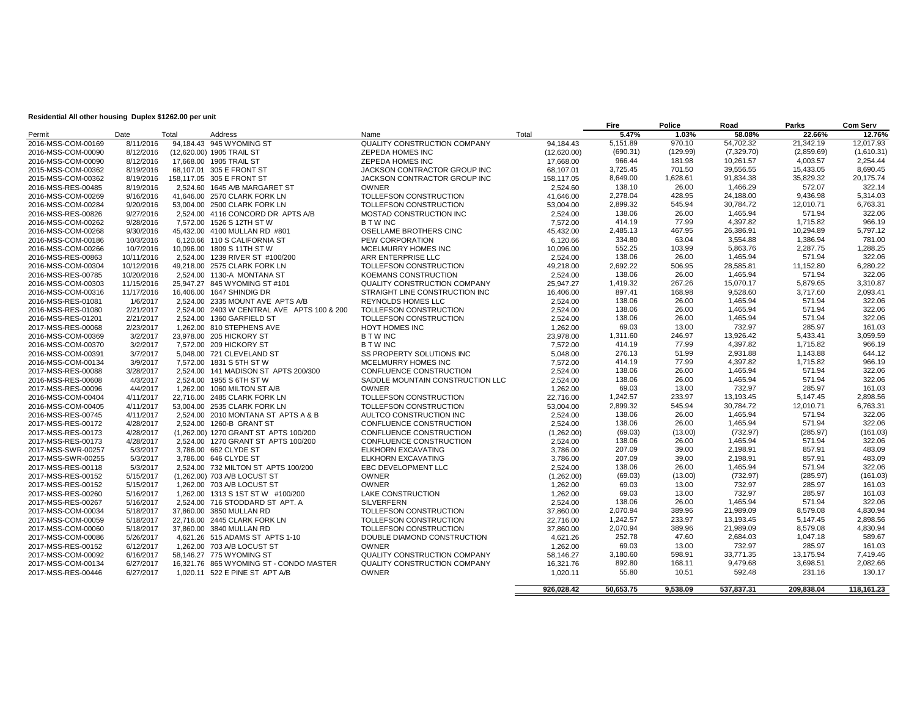#### **Residential All other housing Duplex \$1262.00 per unit**

|                                          |                        |       |                                                              |                                                  |                        | Fire             | Police           | Road                 | Parks              | <b>Com Serv</b>  |
|------------------------------------------|------------------------|-------|--------------------------------------------------------------|--------------------------------------------------|------------------------|------------------|------------------|----------------------|--------------------|------------------|
| Permit                                   | Date                   | Total | Address                                                      | Name                                             | Total                  | 5.47%            | 1.03%            | 58.08%               | 22.66%             | 12.76%           |
| 2016-MSS-COM-00169                       | 8/11/2016              |       | 94,184.43 945 WYOMING ST                                     | QUALITY CONSTRUCTION COMPANY                     | 94,184.43              | 5,151.89         | 970.10           | 54,702.32            | 21,342.19          | 12,017.93        |
| 2016-MSS-COM-00090                       | 8/12/2016              |       | (12,620.00) 1905 TRAIL ST                                    | <b>ZEPEDA HOMES INC</b>                          | (12,620.00)            | (690.31)         | (129.99)         | (7,329.70)           | (2,859.69)         | (1,610.31)       |
| 2016-MSS-COM-00090                       | 8/12/2016              |       | 17.668.00 1905 TRAIL ST                                      | <b>ZEPEDA HOMES INC</b>                          | 17.668.00              | 966.44           | 181.98           | 10,261.57            | 4,003.57           | 2,254.44         |
| 2015-MSS-COM-00362                       | 8/19/2016              |       | 68.107.01 305 E FRONT ST                                     | JACKSON CONTRACTOR GROUP INC                     | 68.107.01              | 3,725.45         | 701.50           | 39,556.55            | 15,433.05          | 8,690.45         |
| 2015-MSS-COM-00362                       | 8/19/2016              |       | 158.117.05 305 E FRONT ST                                    | JACKSON CONTRACTOR GROUP INC                     | 158,117.05             | 8.649.00         | 1.628.61         | 91,834.38            | 35,829.32          | 20,175.74        |
| 2016-MSS-RES-00485                       | 8/19/2016              |       | 2.524.60 1645 A/B MARGARET ST                                | <b>OWNER</b>                                     | 2.524.60               | 138.10           | 26.00            | 1,466.29             | 572.07             | 322.14           |
| 2016-MSS-COM-00269                       | 9/16/2016              |       | 41,646.00 2570 CLARK FORK LN                                 | TOLLEFSON CONSTRUCTION                           | 41.646.00              | 2.278.04         | 428.95           | 24,188.00            | 9,436.98           | 5,314.03         |
| 2016-MSS-COM-00284                       | 9/20/2016              |       | 53,004.00 2500 CLARK FORK LN                                 | TOLLEFSON CONSTRUCTION                           | 53.004.00              | 2,899.32         | 545.94           | 30,784.72            | 12,010.71          | 6,763.31         |
| 2016-MSS-RES-00826                       | 9/27/2016              |       | 2,524.00 4116 CONCORD DR APTS A/B                            | MOSTAD CONSTRUCTION INC                          | 2,524.00               | 138.06           | 26.00            | 1,465.94             | 571.94             | 322.06           |
| 2016-MSS-COM-00262                       | 9/28/2016              |       | 7,572.00 1526 S 12TH ST W                                    | <b>BTWINC</b>                                    | 7,572.00               | 414.19           | 77.99            | 4,397.82             | 1,715.82           | 966.19           |
| 2016-MSS-COM-00268                       | 9/30/2016              |       | 45,432.00 4100 MULLAN RD #801                                | OSELLAME BROTHERS CINC                           | 45,432.00              | 2,485.13         | 467.95           | 26,386.91            | 10,294.89          | 5,797.12         |
| 2016-MSS-COM-00186                       | 10/3/2016              |       | 6.120.66 110 S CALIFORNIA ST                                 | PEW CORPORATION                                  | 6.120.66               | 334.80           | 63.04            | 3,554.88             | 1,386.94           | 781.00           |
| 2016-MSS-COM-00266                       | 10/7/2016              |       | 10.096.00 1809 S 11TH ST W                                   | MCELMURRY HOMES INC                              | 10.096.00              | 552.25           | 103.99           | 5,863.76             | 2,287.75           | 1,288.25         |
| 2016-MSS-RES-00863                       | 10/11/2016             |       | 2.524.00 1239 RIVER ST #100/200                              | ARR ENTERPRISE LLC                               | 2,524.00               | 138.06           | 26.00            | 1,465.94             | 571.94             | 322.06           |
| 2016-MSS-COM-00304                       | 10/12/2016             |       | 49,218.00 2575 CLARK FORK LN                                 | TOLLEFSON CONSTRUCTION                           | 49.218.00              | 2,692.22         | 506.95           | 28,585.81            | 11,152.80          | 6,280.22         |
| 2016-MSS-RES-00785                       | 10/20/2016             |       | 2,524.00 1130-A MONTANA ST                                   | KOEMANS CONSTRUCTION                             | 2,524.00               | 138.06           | 26.00            | 1,465.94             | 571.94             | 322.06           |
| 2016-MSS-COM-00303                       | 11/15/2016             |       | 25.947.27 845 WYOMING ST #101                                | QUALITY CONSTRUCTION COMPANY                     | 25.947.27              | 1.419.32         | 267.26           | 15.070.17            | 5,879.65           | 3,310.87         |
| 2016-MSS-COM-00316                       | 11/17/2016             |       | 16,406.00 1647 SHINDIG DR                                    | STRAIGHT LINE CONSTRUCTION INC                   | 16,406.00              | 897.41           | 168.98           | 9,528.60             | 3,717.60           | 2,093.41         |
| 2016-MSS-RES-01081                       | 1/6/2017               |       | 2,524.00 2335 MOUNT AVE APTS A/B                             | <b>REYNOLDS HOMES LLC</b>                        | 2,524.00               | 138.06           | 26.00            | 1,465.94             | 571.94             | 322.06           |
| 2016-MSS-RES-01080                       | 2/21/2017              |       | 2,524.00 2403 W CENTRAL AVE APTS 100 & 200                   | TOLLEFSON CONSTRUCTION                           | 2,524.00               | 138.06           | 26.00            | 1,465.94             | 571.94             | 322.06           |
| 2016-MSS-RES-01201                       | 2/21/2017              |       | 2,524.00 1360 GARFIELD ST                                    | TOLLEFSON CONSTRUCTION                           | 2,524.00               | 138.06           | 26.00            | 1,465.94             | 571.94             | 322.06           |
| 2017-MSS-RES-00068                       | 2/23/2017              |       | 1.262.00 810 STEPHENS AVE                                    | <b>HOYT HOMES INC</b>                            | 1.262.00               | 69.03            | 13.00            | 732.97               | 285.97             | 161.03           |
| 2016-MSS-COM-00369                       | 3/2/2017               |       | 23.978.00 205 HICKORY ST                                     | <b>BTWINC</b>                                    | 23.978.00              | 1,311.60         | 246.97           | 13,926.42            | 5,433.41           | 3,059.59         |
| 2016-MSS-COM-00370                       | 3/2/2017               |       | 7.572.00 209 HICKORY ST                                      | <b>BTWINC</b>                                    | 7.572.00               | 414.19           | 77.99            | 4,397.82             | 1.715.82           | 966.19           |
| 2016-MSS-COM-00391                       | 3/7/2017               |       | 5,048.00 721 CLEVELAND ST                                    | SS PROPERTY SOLUTIONS INC                        | 5.048.00               | 276.13           | 51.99            | 2,931.88             | 1,143.88           | 644.12           |
| 2016-MSS-COM-00134                       | 3/9/2017               |       | 7.572.00 1831 S 5TH ST W                                     | MCELMURRY HOMES INC                              | 7.572.00               | 414.19           | 77.99            | 4.397.82             | 1.715.82           | 966.19           |
| 2017-MSS-RES-00088                       | 3/28/2017              |       | 2,524.00 141 MADISON ST APTS 200/300                         | CONFLUENCE CONSTRUCTION                          | 2.524.00               | 138.06           | 26.00            | 1,465.94             | 571.94             | 322.06           |
| 2016-MSS-RES-00608                       | 4/3/2017               |       |                                                              |                                                  |                        | 138.06           | 26.00            | 1,465.94             | 571.94             | 322.06           |
| 2017-MSS-RES-00096                       | 4/4/2017               |       | 2,524.00 1955 S 6TH ST W<br>1,262.00 1060 MILTON ST A/B      | SADDLE MOUNTAIN CONSTRUCTION LLC<br><b>OWNER</b> | 2,524.00<br>1,262.00   | 69.03            | 13.00            | 732.97               | 285.97             | 161.03           |
|                                          |                        |       |                                                              | TOLLEFSON CONSTRUCTION                           |                        | 1,242.57         | 233.97           | 13,193.45            | 5,147.45           | 2,898.56         |
| 2016-MSS-COM-00404<br>2016-MSS-COM-00405 | 4/11/2017<br>4/11/2017 |       | 22,716.00 2485 CLARK FORK LN<br>53.004.00 2535 CLARK FORK LN | TOLLEFSON CONSTRUCTION                           | 22,716.00<br>53.004.00 | 2,899.32         | 545.94           | 30,784.72            | 12,010.71          | 6,763.31         |
| 2016-MSS-RES-00745                       | 4/11/2017              |       | 2,524.00 2010 MONTANA ST APTS A & B                          | AULTCO CONSTRUCTION INC                          | 2,524.00               | 138.06           | 26.00            | 1,465.94             | 571.94             | 322.06           |
| 2017-MSS-RES-00172                       | 4/28/2017              |       | 2,524.00 1260-B GRANT ST                                     | CONFLUENCE CONSTRUCTION                          | 2,524.00               | 138.06           | 26.00            | 1,465.94             | 571.94             | 322.06           |
|                                          |                        |       |                                                              |                                                  |                        | (69.03)          | (13.00)          | (732.97)             | (285.97)           | (161.03)         |
| 2017-MSS-RES-00173                       | 4/28/2017              |       | (1.262.00) 1270 GRANT ST APTS 100/200                        | CONFLUENCE CONSTRUCTION                          | (1.262.00)             | 138.06           | 26.00            | 1.465.94             | 571.94             | 322.06           |
| 2017-MSS-RES-00173                       | 4/28/2017              |       | 2,524.00 1270 GRANT ST APTS 100/200                          | CONFLUENCE CONSTRUCTION                          | 2,524.00               |                  | 39.00            |                      |                    |                  |
| 2017-MSS-SWR-00257                       | 5/3/2017               |       | 3.786.00 662 CLYDE ST                                        | <b>ELKHORN EXCAVATING</b>                        | 3.786.00               | 207.09<br>207.09 | 39.00            | 2,198.91             | 857.91             | 483.09           |
| 2017-MSS-SWR-00255<br>2017-MSS-RES-00118 | 5/3/2017<br>5/3/2017   |       | 3,786.00 646 CLYDE ST                                        | ELKHORN EXCAVATING                               | 3,786.00<br>2.524.00   | 138.06           | 26.00            | 2,198.91<br>1,465.94 | 857.91<br>571.94   | 483.09<br>322.06 |
|                                          |                        |       | 2,524.00 732 MILTON ST APTS 100/200                          | EBC DEVELOPMENT LLC                              |                        |                  | (13.00)          |                      |                    | (161.03)         |
| 2017-MSS-RES-00152<br>2017-MSS-RES-00152 | 5/15/2017              |       | (1,262.00) 703 A/B LOCUST ST                                 | <b>OWNER</b><br><b>OWNER</b>                     | (1,262.00)             | (69.03)<br>69.03 | 13.00            | (732.97)<br>732.97   | (285.97)<br>285.97 | 161.03           |
|                                          | 5/15/2017              |       | 1,262.00 703 A/B LOCUST ST                                   |                                                  | 1,262.00               | 69.03            | 13.00            | 732.97               | 285.97             | 161.03           |
| 2017-MSS-RES-00260                       | 5/16/2017              |       | 1,262.00 1313 S 1ST ST W #100/200                            | <b>LAKE CONSTRUCTION</b>                         | 1,262.00               |                  |                  |                      |                    |                  |
| 2017-MSS-RES-00267                       | 5/16/2017              |       | 2,524.00 716 STODDARD ST APT. A                              | <b>SILVERFERN</b>                                | 2,524.00               | 138.06           | 26.00            | 1,465.94             | 571.94             | 322.06           |
| 2017-MSS-COM-00034                       | 5/18/2017              |       | 37,860.00 3850 MULLAN RD                                     | TOLLEFSON CONSTRUCTION                           | 37,860.00              | 2,070.94         | 389.96<br>233.97 | 21,989.09            | 8,579.08           | 4,830.94         |
| 2017-MSS-COM-00059                       | 5/18/2017              |       | 22.716.00 2445 CLARK FORK LN                                 | TOLLEFSON CONSTRUCTION                           | 22,716.00              | 1,242.57         |                  | 13,193.45            | 5,147.45           | 2,898.56         |
| 2017-MSS-COM-00060                       | 5/18/2017              |       | 37.860.00 3840 MULLAN RD                                     | TOLLEFSON CONSTRUCTION                           | 37.860.00              | 2.070.94         | 389.96           | 21,989.09            | 8,579.08           | 4,830.94         |
| 2017-MSS-COM-00086                       | 5/26/2017              |       | 4,621.26 515 ADAMS ST APTS 1-10                              | DOUBLE DIAMOND CONSTRUCTION                      | 4,621.26               | 252.78           | 47.60            | 2,684.03             | 1,047.18           | 589.67           |
| 2017-MSS-RES-00152                       | 6/12/2017              |       | 1.262.00 703 A/B LOCUST ST                                   | <b>OWNER</b>                                     | 1.262.00               | 69.03            | 13.00            | 732.97               | 285.97             | 161.03           |
| 2017-MSS-COM-00092                       | 6/16/2017              |       | 58,146.27 775 WYOMING ST                                     | QUALITY CONSTRUCTION COMPANY                     | 58,146.27              | 3,180.60         | 598.91           | 33,771.35            | 13,175.94          | 7,419.46         |
| 2017-MSS-COM-00134                       | 6/27/2017              |       | 16,321.76 865 WYOMING ST - CONDO MASTER                      | QUALITY CONSTRUCTION COMPANY                     | 16,321.76              | 892.80           | 168.11           | 9,479.68             | 3,698.51           | 2,082.66         |
| 2017-MSS-RES-00446                       | 6/27/2017              |       | 1,020.11 522 E PINE ST APT A/B                               | OWNER                                            | 1,020.11               | 55.80            | 10.51            | 592.48               | 231.16             | 130.17           |
|                                          |                        |       |                                                              |                                                  | 926,028.42             | 50.653.75        | 9.538.09         | 537,837.31           | 209.838.04         | 118,161.23       |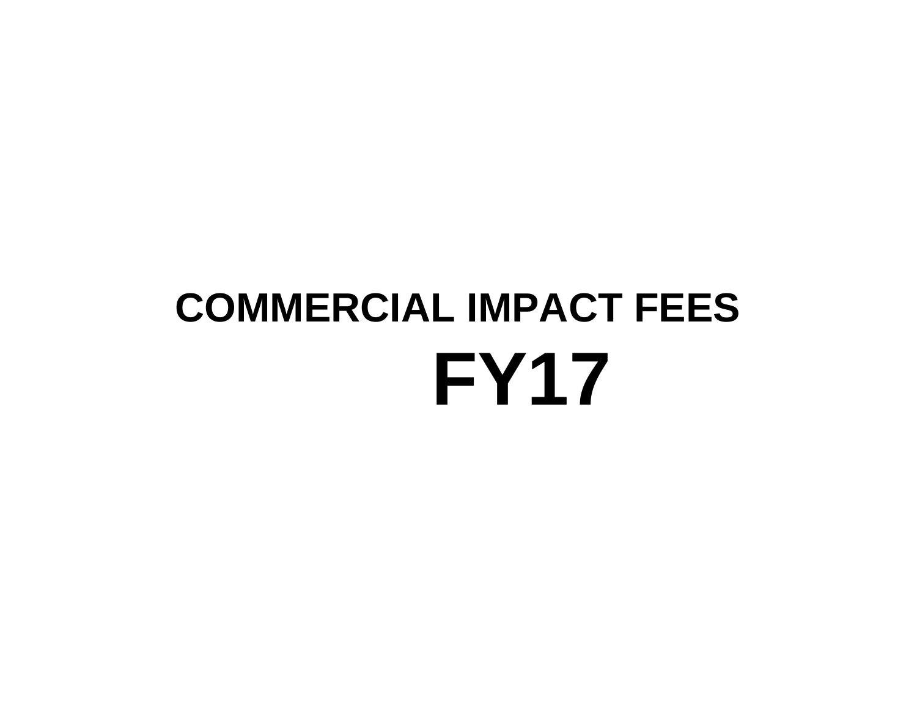# **COMMERCIAL IMPACT FEES FY17**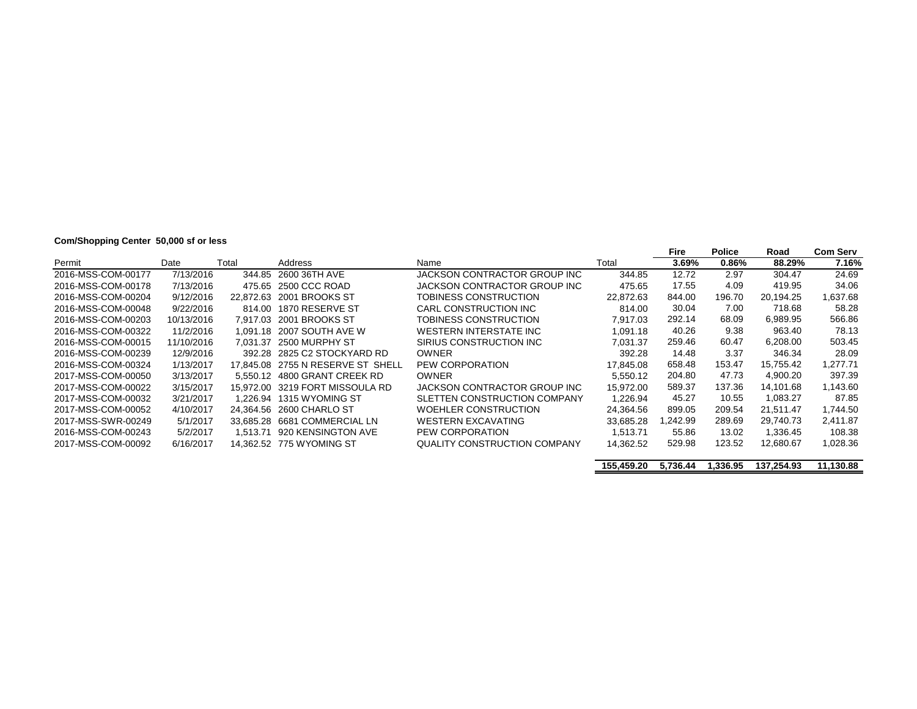# **Com/Shopping Center 50,000 sf or less**

|                    |            |           |                                 |                              |           | Fire    | <b>Police</b> | Road      | <b>Com Serv</b> |
|--------------------|------------|-----------|---------------------------------|------------------------------|-----------|---------|---------------|-----------|-----------------|
| Permit             | Date       | Total     | Address                         | Name                         | Total     | 3.69%   | 0.86%         | 88.29%    | 7.16%           |
| 2016-MSS-COM-00177 | 7/13/2016  | 344.85    | 2600 36TH AVE                   | JACKSON CONTRACTOR GROUP INC | 344.85    | 12.72   | 2.97          | 304.47    | 24.69           |
| 2016-MSS-COM-00178 | 7/13/2016  | 475.65    | 2500 CCC ROAD                   | JACKSON CONTRACTOR GROUP INC | 475.65    | 17.55   | 4.09          | 419.95    | 34.06           |
| 2016-MSS-COM-00204 | 9/12/2016  | 22.872.63 | 2001 BROOKS ST                  | TOBINESS CONSTRUCTION        | 22,872.63 | 844.00  | 196.70        | 20.194.25 | 1,637.68        |
| 2016-MSS-COM-00048 | 9/22/2016  | 814.00    | 1870 RESERVE ST                 | CARL CONSTRUCTION INC        | 814.00    | 30.04   | 7.00          | 718.68    | 58.28           |
| 2016-MSS-COM-00203 | 10/13/2016 | 7.917.03  | 2001 BROOKS ST                  | TOBINESS CONSTRUCTION        | 7.917.03  | 292.14  | 68.09         | 6.989.95  | 566.86          |
| 2016-MSS-COM-00322 | 11/2/2016  | 1.091.18  | 2007 SOUTH AVE W                | WESTERN INTERSTATE INC       | 1.091.18  | 40.26   | 9.38          | 963.40    | 78.13           |
| 2016-MSS-COM-00015 | 11/10/2016 | 7.031.37  | 2500 MURPHY ST                  | SIRIUS CONSTRUCTION INC      | 7.031.37  | 259.46  | 60.47         | 6.208.00  | 503.45          |
| 2016-MSS-COM-00239 | 12/9/2016  | 392.28    | 2825 C2 STOCKYARD RD            | <b>OWNER</b>                 | 392.28    | 14.48   | 3.37          | 346.34    | 28.09           |
| 2016-MSS-COM-00324 | 1/13/2017  | 17.845.08 | 2755 N RESERVE ST SHELL         | PEW CORPORATION              | 17.845.08 | 658.48  | 153.47        | 15.755.42 | 1.277.71        |
| 2017-MSS-COM-00050 | 3/13/2017  |           | 5.550.12 4800 GRANT CREEK RD    | <b>OWNER</b>                 | 5.550.12  | 204.80  | 47.73         | 4.900.20  | 397.39          |
| 2017-MSS-COM-00022 | 3/15/2017  |           | 15.972.00 3219 FORT MISSOULA RD | JACKSON CONTRACTOR GROUP INC | 15.972.00 | 589.37  | 137.36        | 14.101.68 | 1,143.60        |
| 2017-MSS-COM-00032 | 3/21/2017  |           | 1.226.94 1315 WYOMING ST        | SLETTEN CONSTRUCTION COMPANY | 1.226.94  | 45.27   | 10.55         | 1,083.27  | 87.85           |
| 2017-MSS-COM-00052 | 4/10/2017  | 24.364.56 | 2600 CHARLO ST                  | <b>WOEHLER CONSTRUCTION</b>  | 24.364.56 | 899.05  | 209.54        | 21.511.47 | 1.744.50        |
| 2017-MSS-SWR-00249 | 5/1/2017   | 33.685.28 | 6681 COMMERCIAL LN              | <b>WESTERN EXCAVATING</b>    | 33.685.28 | .242.99 | 289.69        | 29,740.73 | 2.411.87        |
| 2016-MSS-COM-00243 | 5/2/2017   | 1.513.71  | 920 KENSINGTON AVE              | PEW CORPORATION              | 1.513.71  | 55.86   | 13.02         | 1.336.45  | 108.38          |
| 2017-MSS-COM-00092 | 6/16/2017  |           | 14.362.52 775 WYOMING ST        | QUALITY CONSTRUCTION COMPANY | 14,362.52 | 529.98  | 123.52        | 12,680.67 | 1,028.36        |

**155,459.20 5,736.44 1,336.95 137,254.93 11,130.88**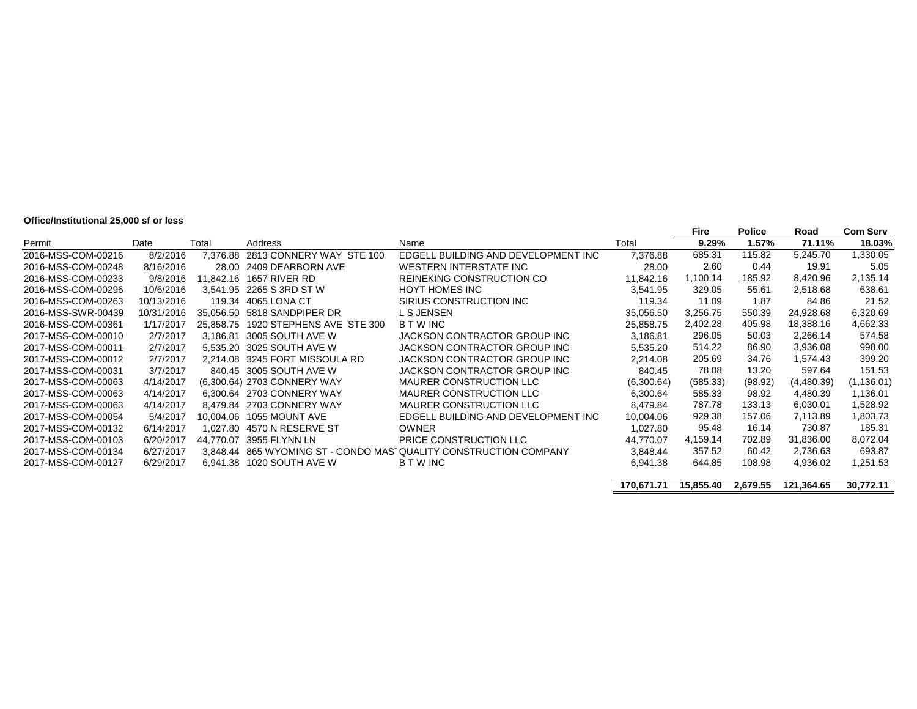#### **Office/Institutional 25,000 sf or less**

|                    |            |           |                                   |                                                                  |            | Fire      | <b>Police</b> | Road       | <b>Com Serv</b> |
|--------------------|------------|-----------|-----------------------------------|------------------------------------------------------------------|------------|-----------|---------------|------------|-----------------|
| Permit             | Date       | Total     | Address                           | Name                                                             | Total      | 9.29%     | 1.57%         | 71.11%     | 18.03%          |
| 2016-MSS-COM-00216 | 8/2/2016   |           | 7,376.88 2813 CONNERY WAY STE 100 | EDGELL BUILDING AND DEVELOPMENT INC                              | 7,376.88   | 685.31    | 115.82        | 5,245.70   | 1,330.05        |
| 2016-MSS-COM-00248 | 8/16/2016  | 28.00     | 2409 DEARBORN AVE                 | <b>WESTERN INTERSTATE INC</b>                                    | 28.00      | 2.60      | 0.44          | 19.91      | 5.05            |
| 2016-MSS-COM-00233 | 9/8/2016   | 11,842.16 | 1657 RIVER RD                     | REINEKING CONSTRUCTION CO                                        | 11,842.16  | 1,100.14  | 185.92        | 8,420.96   | 2,135.14        |
| 2016-MSS-COM-00296 | 10/6/2016  |           | 3.541.95 2265 S 3RD ST W          | <b>HOYT HOMES INC</b>                                            | 3,541.95   | 329.05    | 55.61         | 2,518.68   | 638.61          |
| 2016-MSS-COM-00263 | 10/13/2016 | 119.34    | 4065 LONA CT                      | SIRIUS CONSTRUCTION INC                                          | 119.34     | 11.09     | 1.87          | 84.86      | 21.52           |
| 2016-MSS-SWR-00439 | 10/31/2016 |           | 35.056.50 5818 SANDPIPER DR       | L S JENSEN                                                       | 35,056.50  | 3,256.75  | 550.39        | 24,928.68  | 6,320.69        |
| 2016-MSS-COM-00361 | 1/17/2017  | 25.858.75 | 1920 STEPHENS AVE STE 300         | <b>BTWINC</b>                                                    | 25,858.75  | 2,402.28  | 405.98        | 18,388.16  | 4,662.33        |
| 2017-MSS-COM-00010 | 2/7/2017   | 3,186.81  | 3005 SOUTH AVE W                  | JACKSON CONTRACTOR GROUP INC                                     | 3,186.81   | 296.05    | 50.03         | 2,266.14   | 574.58          |
| 2017-MSS-COM-00011 | 2/7/2017   | 5,535.20  | 3025 SOUTH AVE W                  | JACKSON CONTRACTOR GROUP INC                                     | 5,535.20   | 514.22    | 86.90         | 3,936.08   | 998.00          |
| 2017-MSS-COM-00012 | 2/7/2017   |           | 2.214.08 3245 FORT MISSOULA RD    | JACKSON CONTRACTOR GROUP INC                                     | 2,214.08   | 205.69    | 34.76         | 1,574.43   | 399.20          |
| 2017-MSS-COM-00031 | 3/7/2017   |           | 840.45 3005 SOUTH AVE W           | JACKSON CONTRACTOR GROUP INC                                     | 840.45     | 78.08     | 13.20         | 597.64     | 151.53          |
| 2017-MSS-COM-00063 | 4/14/2017  |           | (6,300.64) 2703 CONNERY WAY       | <b>MAURER CONSTRUCTION LLC</b>                                   | (6,300.64) | (585.33)  | (98.92)       | (4,480.39) | (1, 136.01)     |
| 2017-MSS-COM-00063 | 4/14/2017  |           | 6.300.64 2703 CONNERY WAY         | <b>MAURER CONSTRUCTION LLC</b>                                   | 6,300.64   | 585.33    | 98.92         | 4,480.39   | 1,136.01        |
| 2017-MSS-COM-00063 | 4/14/2017  |           | 8.479.84 2703 CONNERY WAY         | <b>MAURER CONSTRUCTION LLC</b>                                   | 8.479.84   | 787.78    | 133.13        | 6,030.01   | 1,528.92        |
| 2017-MSS-COM-00054 | 5/4/2017   | 10.004.06 | 1055 MOUNT AVE                    | EDGELL BUILDING AND DEVELOPMENT INC                              | 10,004.06  | 929.38    | 157.06        | 7.113.89   | 1,803.73        |
| 2017-MSS-COM-00132 | 6/14/2017  | 1.027.80  | 4570 N RESERVE ST                 | <b>OWNER</b>                                                     | 1,027.80   | 95.48     | 16.14         | 730.87     | 185.31          |
| 2017-MSS-COM-00103 | 6/20/2017  | 44.770.07 | 3955 FLYNN LN                     | PRICE CONSTRUCTION LLC                                           | 44.770.07  | 4,159.14  | 702.89        | 31,836.00  | 8,072.04        |
| 2017-MSS-COM-00134 | 6/27/2017  |           |                                   | 3.848.44 865 WYOMING ST - CONDO MASTQUALITY CONSTRUCTION COMPANY | 3.848.44   | 357.52    | 60.42         | 2.736.63   | 693.87          |
| 2017-MSS-COM-00127 | 6/29/2017  |           | 6,941.38 1020 SOUTH AVE W         | B T W INC                                                        | 6,941.38   | 644.85    | 108.98        | 4,936.02   | 1,251.53        |
|                    |            |           |                                   |                                                                  |            |           |               |            |                 |
|                    |            |           |                                   |                                                                  | 170.671.71 | 15.855.40 | 2,679.55      | 121.364.65 | 30.772.11       |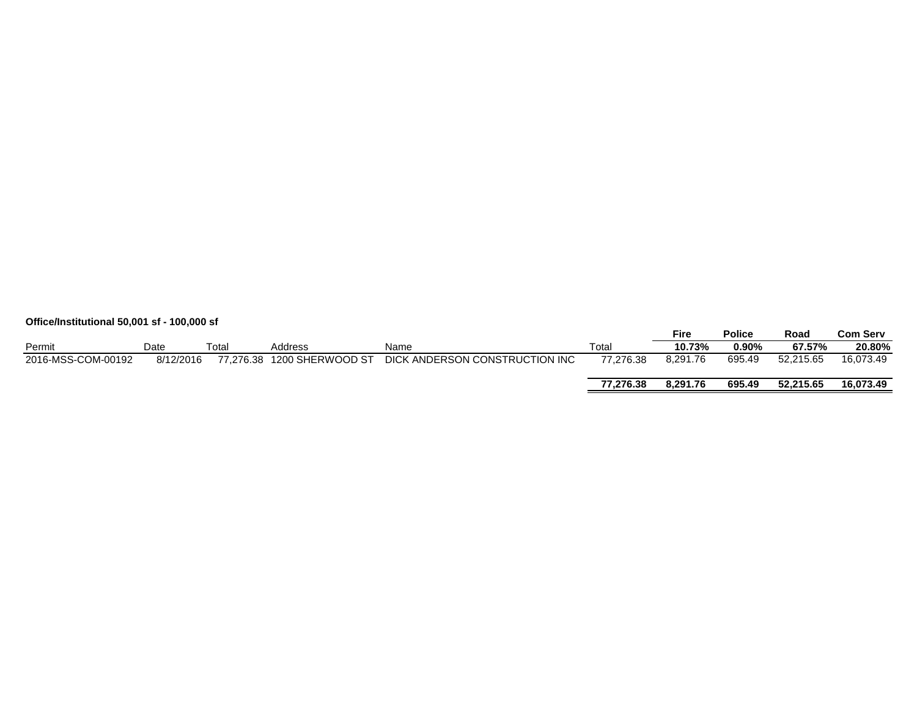|                    | Office/Institutional 50,001 sf - 100,000 sf |       |                            |                                |           |          |               |           |                 |  |
|--------------------|---------------------------------------------|-------|----------------------------|--------------------------------|-----------|----------|---------------|-----------|-----------------|--|
|                    |                                             |       |                            |                                |           | Fire     | <b>Police</b> | Road      | <b>Com Serv</b> |  |
| Permit             | Date                                        | Total | Address                    | Name                           | Total     | 10.73%   | 0.90%         | 67.57%    | 20.80%          |  |
| 2016-MSS-COM-00192 | 8/12/2016                                   |       | 77,276.38 1200 SHERWOOD ST | DICK ANDERSON CONSTRUCTION INC | 77.276.38 | 8,291.76 | 695.49        | 52.215.65 | 16.073.49       |  |
|                    |                                             |       |                            |                                | 77.276.38 | 8.291.76 | 695.49        | 52.215.65 | 16.073.49       |  |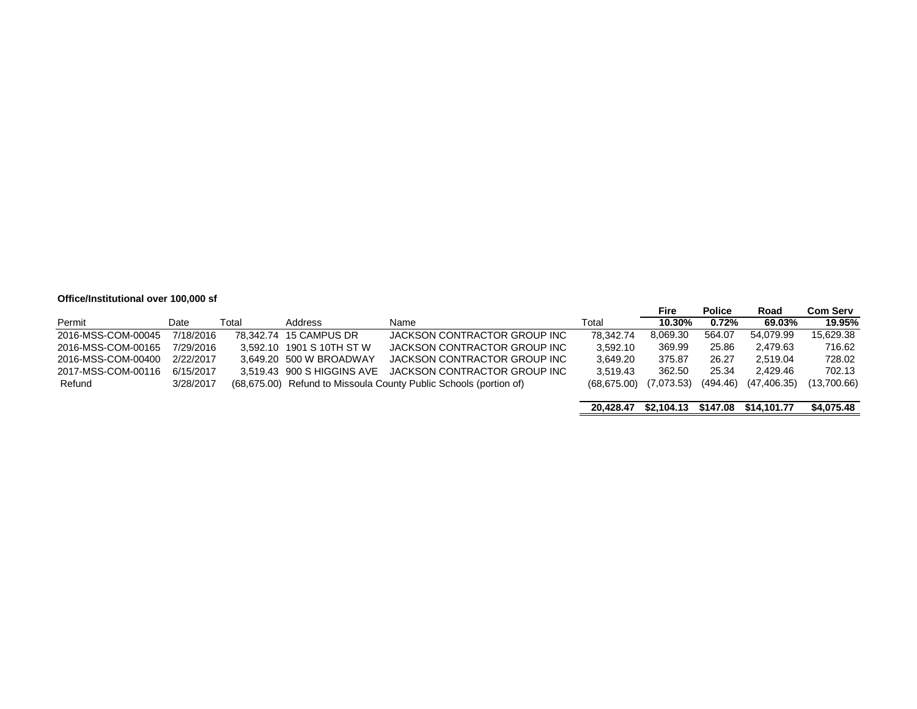### **Office/Institutional over 100,000 sf**

|                    |           |       |                            |                                                                   |             | Fire       | <b>Police</b> | Road        | <b>Com Serv</b> |
|--------------------|-----------|-------|----------------------------|-------------------------------------------------------------------|-------------|------------|---------------|-------------|-----------------|
| Permit             | Date      | Total | Address                    | Name                                                              | Total       | 10.30%     | 0.72%         | 69.03%      | 19.95%          |
| 2016-MSS-COM-00045 | 7/18/2016 |       | 78.342.74 15 CAMPUS DR     | JACKSON CONTRACTOR GROUP INC                                      | 78.342.74   | 8,069.30   | 564.07        | 54.079.99   | 15,629.38       |
| 2016-MSS-COM-00165 | 7/29/2016 |       | 3.592.10 1901 S 10TH ST W  | JACKSON CONTRACTOR GROUP INC                                      | 3.592.10    | 369.99     | 25.86         | 2.479.63    | 716.62          |
| 2016-MSS-COM-00400 | 2/22/2017 |       | 3.649.20 500 W BROADWAY    | JACKSON CONTRACTOR GROUP INC                                      | 3.649.20    | 375.87     | 26.27         | 2.519.04    | 728.02          |
| 2017-MSS-COM-00116 | 6/15/2017 |       | 3.519.43 900 S HIGGINS AVE | JACKSON CONTRACTOR GROUP INC                                      | 3.519.43    | 362.50     | 25.34         | 2.429.46    | 702.13          |
| Refund             | 3/28/2017 |       |                            | (68,675.00) Refund to Missoula County Public Schools (portion of) | (68.675.00) | (7,073.53) | (494.46)      | (47.406.35) | (13,700.66)     |
|                    |           |       |                            |                                                                   |             |            |               |             |                 |

|  |  |  | 20,428.47 \$2,104.13 \$147.08 \$14,101.77 | \$4,075.48 |
|--|--|--|-------------------------------------------|------------|
|--|--|--|-------------------------------------------|------------|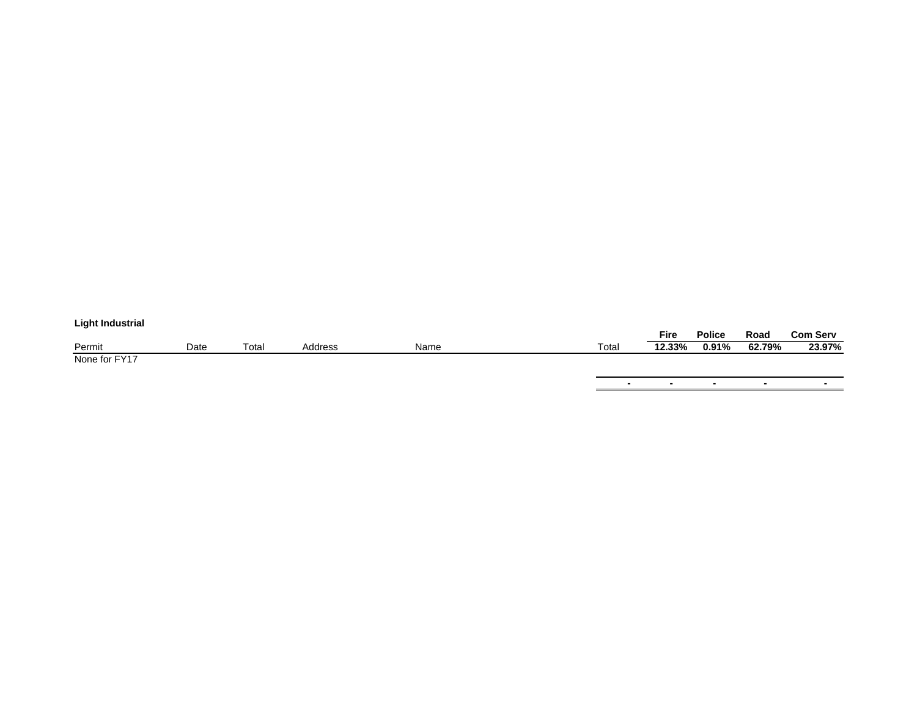# **Light Industrial**

|               |      |             |         |      |       | Fire   | Police | Road   | <b>Com Serv</b> |
|---------------|------|-------------|---------|------|-------|--------|--------|--------|-----------------|
| Permit        | Date | $\tau$ otai | Address | Name | Total | 12.33% | 0.91%  | 62.79% | 23.97%          |
| None for FY17 |      |             |         |      |       |        |        |        |                 |

**-** 

**-** 

**-** 

**-** 

**-**